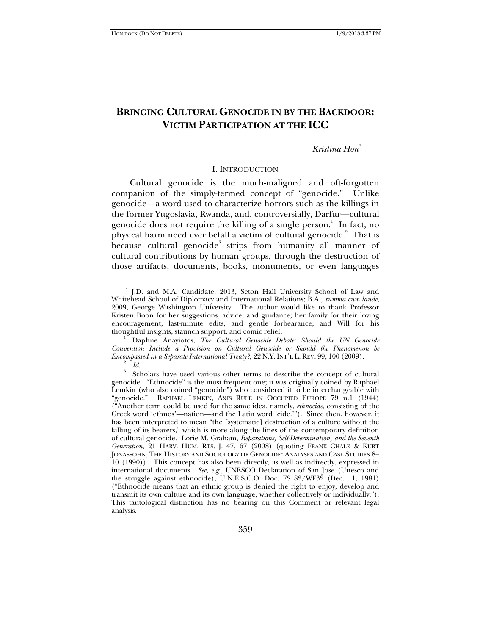# **BRINGING CULTURAL GENOCIDE IN BY THE BACKDOOR: VICTIM PARTICIPATION AT THE ICC**

## *Kristina Hon\**

### I. INTRODUCTION

Cultural genocide is the much-maligned and oft-forgotten companion of the simply-termed concept of "genocide." Unlike genocide—a word used to characterize horrors such as the killings in the former Yugoslavia, Rwanda, and, controversially, Darfur—cultural genocide does not require the killing of a single person.<sup>1</sup> In fact, no physical harm need ever befall a victim of cultural genocide.<sup>2</sup> That is because cultural genocide $3$  strips from humanity all manner of cultural contributions by human groups, through the destruction of those artifacts, documents, books, monuments, or even languages

 Daphne Anayiotos, *The Cultural Genocide Debate: Should the UN Genocide Convention Include a Provision on Cultural Genocide or Should the Phenomenon be Encompassed in a Separate International Treaty?*, 22 N.Y. INT'L L. REV. 99, 100 (2009).

<sup>\*</sup> J.D. and M.A. Candidate, 2013, Seton Hall University School of Law and Whitehead School of Diplomacy and International Relations; B.A., *summa cum laude*, 2009, George Washington University. The author would like to thank Professor Kristen Boon for her suggestions, advice, and guidance; her family for their loving encouragement, last-minute edits, and gentle forbearance; and Will for his thoughtful insights, staunch support, and comic relief. 1

*Id.*<br><sup>3</sup> Scholars have used various other terms to describe the concept of cultural genocide. "Ethnocide" is the most frequent one; it was originally coined by Raphael Lemkin (who also coined "genocide") who considered it to be interchangeable with "genocide." RAPHAEL LEMKIN, AXIS RULE IN OCCUPIED EUROPE 79 n.1 (1944) ("Another term could be used for the same idea, namely, *ethnocide*, consisting of the Greek word 'ethnos'—nation—and the Latin word 'cide.'"). Since then, however, it has been interpreted to mean "the [systematic] destruction of a culture without the killing of its bearers," which is more along the lines of the contemporary definition of cultural genocide. Lorie M. Graham, *Reparations, Self-Determination, and the Seventh Generation*, 21 HARV. HUM. RTS. J. 47, 67 (2008) (quoting FRANK CHALK & KURT JONASSOHN, THE HISTORY AND SOCIOLOGY OF GENOCIDE: ANALYSES AND CASE STUDIES 8– 10 (1990)). This concept has also been directly, as well as indirectly, expressed in international documents. *See, e.g.*, UNESCO Declaration of San Jose (Unesco and the struggle against ethnocide), U.N.E.S.C.O. Doc. FS 82/WF32 (Dec. 11, 1981) ("Ethnocide means that an ethnic group is denied the right to enjoy, develop and transmit its own culture and its own language, whether collectively or individually."). This tautological distinction has no bearing on this Comment or relevant legal analysis.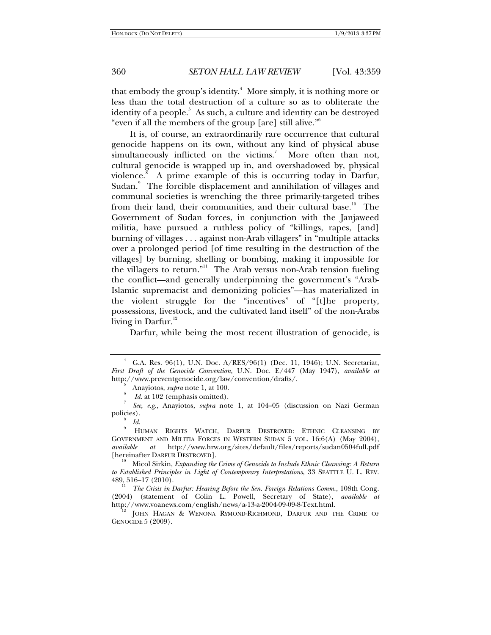that embody the group's identity.<sup>4</sup> More simply, it is nothing more or less than the total destruction of a culture so as to obliterate the identity of a people.<sup>5</sup> As such, a culture and identity can be destroyed "even if all the members of the group [are] still alive."6

It is, of course, an extraordinarily rare occurrence that cultural genocide happens on its own, without any kind of physical abuse simultaneously inflicted on the victims.<sup>7</sup> More often than not, cultural genocide is wrapped up in, and overshadowed by, physical violence.<sup>8</sup> A prime example of this is occurring today in Darfur, Sudan.<sup>9</sup> The forcible displacement and annihilation of villages and communal societies is wrenching the three primarily-targeted tribes from their land, their communities, and their cultural base.<sup>10</sup> The Government of Sudan forces, in conjunction with the Janjaweed militia, have pursued a ruthless policy of "killings, rapes, [and] burning of villages . . . against non-Arab villagers" in "multiple attacks over a prolonged period [of time resulting in the destruction of the villages] by burning, shelling or bombing, making it impossible for the villagers to return."11 The Arab versus non-Arab tension fueling the conflict—and generally underpinning the government's "Arab-Islamic supremacist and demonizing policies"—has materialized in the violent struggle for the "incentives" of "[t]he property, possessions, livestock, and the cultivated land itself" of the non-Arabs living in Darfur. $12$ 

Darfur, while being the most recent illustration of genocide, is

<sup>4</sup> G.A. Res. 96(1), U.N. Doc. A/RES/96(1) (Dec. 11, 1946); U.N. Secretariat, *First Draft of the Genocide Convention*, U.N. Doc. E/447 (May 1947), *available at* http://www.preventgenocide.org/law/convention/drafts/. 5

 $\frac{1}{6}$  Anayiotos, *supra* note 1, at 100.

*Id.* at 102 (emphasis omitted).

*See, e.g.*, Anayiotos, *supra* note 1, at 104–05 (discussion on Nazi German policies). 8

*Id.* 

HUMAN RIGHTS WATCH, DARFUR DESTROYED: ETHNIC CLEANSING BY GOVERNMENT AND MILITIA FORCES IN WESTERN SUDAN 5 VOL. 16:6(A) (May 2004), *available at* http://www.hrw.org/sites/default/files/reports/sudan0504full.pdf [hereinafter DARFUR DESTROYED]. 10 Micol Sirkin, *Expanding the Crime of Genocide to Include Ethnic Cleansing: A Return* 

*to Established Principles in Light of Contemporary Interpretations*, 33 SEATTLE U. L. REV. 489, 516–17 (2010).

<sup>&</sup>lt;sup>11</sup> The Crisis in Darfur: Hearing Before the Sen. Foreign Relations Comm., 108th Cong. (2004) (statement of Colin L. Powell, Secretary of State), *available at* 

JOHN HAGAN & WENONA RYMOND-RICHMOND, DARFUR AND THE CRIME OF GENOCIDE 5 (2009).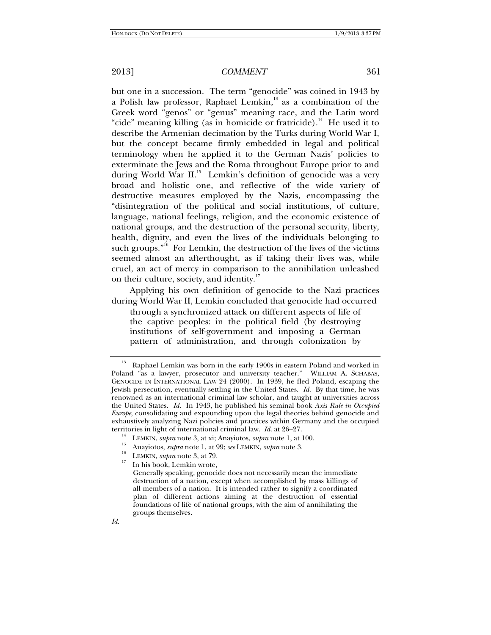but one in a succession. The term "genocide" was coined in 1943 by a Polish law professor, Raphael Lemkin,<sup>13</sup> as a combination of the Greek word "genos" or "genus" meaning race, and the Latin word "cide" meaning killing (as in homicide or fratricide).<sup>14</sup> He used it to describe the Armenian decimation by the Turks during World War I, but the concept became firmly embedded in legal and political terminology when he applied it to the German Nazis' policies to exterminate the Jews and the Roma throughout Europe prior to and during World War II.<sup>15</sup> Lemkin's definition of genocide was a very broad and holistic one, and reflective of the wide variety of destructive measures employed by the Nazis, encompassing the "disintegration of the political and social institutions, of culture, language, national feelings, religion, and the economic existence of national groups, and the destruction of the personal security, liberty, health, dignity, and even the lives of the individuals belonging to such groups." $16$  For Lemkin, the destruction of the lives of the victims seemed almost an afterthought, as if taking their lives was, while cruel, an act of mercy in comparison to the annihilation unleashed on their culture, society, and identity.<sup>17</sup>

Applying his own definition of genocide to the Nazi practices during World War II, Lemkin concluded that genocide had occurred

through a synchronized attack on different aspects of life of the captive peoples: in the political field (by destroying institutions of self-government and imposing a German pattern of administration, and through colonization by

- 
- 

 $13$  Raphael Lemkin was born in the early 1900s in eastern Poland and worked in Poland "as a lawyer, prosecutor and university teacher." WILLIAM A. SCHABAS, GENOCIDE IN INTERNATIONAL LAW 24 (2000). In 1939, he fled Poland, escaping the Jewish persecution, eventually settling in the United States. *Id.* By that time, he was renowned as an international criminal law scholar, and taught at universities across the United States. *Id.* In 1943, he published his seminal book *Axis Rule in Occupied Europe*, consolidating and expounding upon the legal theories behind genocide and exhaustively analyzing Nazi policies and practices within Germany and the occupied territories in light of international criminal law.  $Id$  at  $26-27$ .

<sup>&</sup>lt;sup>14</sup> LEMKIN, *supra* note 3, at xi; Anayiotos, *supra* note 1, at 100.<br><sup>15</sup> Anayiotos, *supra* note 1, at 99; *see* LEMKIN, *supra* note 3.<br><sup>16</sup> LEMKIN, *supra* note 3, at 79.<br><sup>17</sup> In his book, Lemkin wrote,

Generally speaking, genocide does not necessarily mean the immediate destruction of a nation, except when accomplished by mass killings of all members of a nation. It is intended rather to signify a coordinated plan of different actions aiming at the destruction of essential foundations of life of national groups, with the aim of annihilating the groups themselves.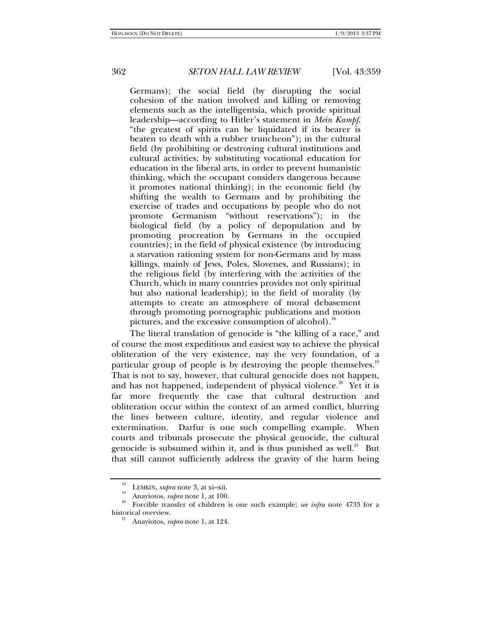Germans); the social field (by disrupting the social cohesion of the nation involved and killing or removing elements such as the intelligentsia, which provide spiritual leadership—according to Hitler's statement in *Mein Kampf*, "the greatest of spirits can be liquidated if its bearer is beaten to death with a rubber truncheon"); in the cultural field (by prohibiting or destroying cultural institutions and cultural activities; by substituting vocational education for education in the liberal arts, in order to prevent humanistic thinking, which the occupant considers dangerous because it promotes national thinking); in the economic field (by shifting the wealth to Germans and by prohibiting the exercise of trades and occupations by people who do not promote Germanism "without reservations"); in the biological field (by a policy of depopulation and by promoting procreation by Germans in the occupied countries); in the field of physical existence (by introducing a starvation rationing system for non-Germans and by mass killings, mainly of Jews, Poles, Slovenes, and Russians); in the religious field (by interfering with the activities of the Church, which in many countries provides not only spiritual but also national leadership); in the field of morality (by attempts to create an atmosphere of moral debasement through promoting pornographic publications and motion pictures, and the excessive consumption of alcohol).<sup>18</sup>

The literal translation of genocide is "the killing of a race," and of course the most expeditious and easiest way to achieve the physical obliteration of the very existence, nay the very foundation, of a particular group of people is by destroying the people themselves.<sup>19</sup> That is not to say, however, that cultural genocide does not happen, and has not happened, independent of physical violence.<sup>20</sup> Yet it is far more frequently the case that cultural destruction and obliteration occur within the context of an armed conflict, blurring the lines between culture, identity, and regular violence and extermination. Darfur is one such compelling example. When courts and tribunals prosecute the physical genocide, the cultural genocide is subsumed within it, and is thus punished as well. $^{21}$  But that still cannot sufficiently address the gravity of the harm being

<sup>&</sup>lt;sup>18</sup> LEMKIN, *supra* note 3, at xi–xii.<br><sup>19</sup> Anayiotos, *supra* note 1, at 100.<br>Forcible transfer of children is one such example; *see infra* note 4733 for a historical overview.

historical overview. 21 Anayiotos, *supra* note 1, at 124.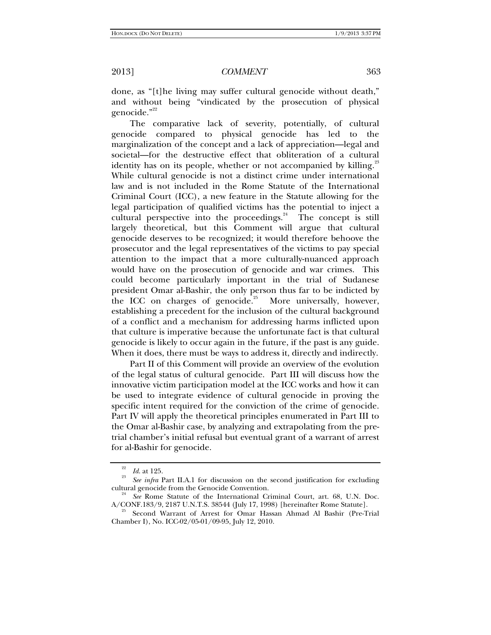done, as "[t]he living may suffer cultural genocide without death," and without being "vindicated by the prosecution of physical genocide."<sup>22</sup>

The comparative lack of severity, potentially, of cultural genocide compared to physical genocide has led to the marginalization of the concept and a lack of appreciation—legal and societal—for the destructive effect that obliteration of a cultural identity has on its people, whether or not accompanied by killing. $23$ While cultural genocide is not a distinct crime under international law and is not included in the Rome Statute of the International Criminal Court (ICC), a new feature in the Statute allowing for the legal participation of qualified victims has the potential to inject a cultural perspective into the proceedings. $24$  The concept is still largely theoretical, but this Comment will argue that cultural genocide deserves to be recognized; it would therefore behoove the prosecutor and the legal representatives of the victims to pay special attention to the impact that a more culturally-nuanced approach would have on the prosecution of genocide and war crimes. This could become particularly important in the trial of Sudanese president Omar al-Bashir, the only person thus far to be indicted by the ICC on charges of genocide.<sup>25</sup> More universally, however, establishing a precedent for the inclusion of the cultural background of a conflict and a mechanism for addressing harms inflicted upon that culture is imperative because the unfortunate fact is that cultural genocide is likely to occur again in the future, if the past is any guide. When it does, there must be ways to address it, directly and indirectly.

Part II of this Comment will provide an overview of the evolution of the legal status of cultural genocide. Part III will discuss how the innovative victim participation model at the ICC works and how it can be used to integrate evidence of cultural genocide in proving the specific intent required for the conviction of the crime of genocide. Part IV will apply the theoretical principles enumerated in Part III to the Omar al-Bashir case, by analyzing and extrapolating from the pretrial chamber's initial refusal but eventual grant of a warrant of arrest for al-Bashir for genocide.

 $\frac{22}{23}$  *Id.* at 125.

*See infra* Part II.A.1 for discussion on the second justification for excluding cultural genocide from the Genocide Convention.

<sup>&</sup>lt;sup>24</sup> *See* Rome Statute of the International Criminal Court, art. 68, U.N. Doc. A/CONF.183/9, 2187 U.N.T.S. 38544 (July 17, 1998) [hereinafter Rome Statute].

Second Warrant of Arrest for Omar Hassan Ahmad Al Bashir (Pre-Trial Chamber I), No. ICC-02/05-01/09-95, July 12, 2010.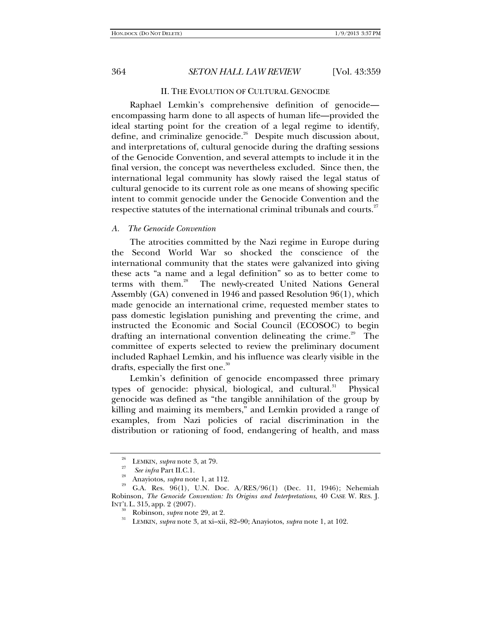### II. THE EVOLUTION OF CULTURAL GENOCIDE

Raphael Lemkin's comprehensive definition of genocide encompassing harm done to all aspects of human life—provided the ideal starting point for the creation of a legal regime to identify, define, and criminalize genocide.<sup>26</sup> Despite much discussion about, and interpretations of, cultural genocide during the drafting sessions of the Genocide Convention, and several attempts to include it in the final version, the concept was nevertheless excluded. Since then, the international legal community has slowly raised the legal status of cultural genocide to its current role as one means of showing specific intent to commit genocide under the Genocide Convention and the respective statutes of the international criminal tribunals and courts.<sup>27</sup>

## *A. The Genocide Convention*

The atrocities committed by the Nazi regime in Europe during the Second World War so shocked the conscience of the international community that the states were galvanized into giving these acts "a name and a legal definition" so as to better come to terms with them.<sup>28</sup> The newly-created United Nations General Assembly (GA) convened in 1946 and passed Resolution 96(1), which made genocide an international crime, requested member states to pass domestic legislation punishing and preventing the crime, and instructed the Economic and Social Council (ECOSOC) to begin drafting an international convention delineating the crime.<sup>29</sup> The committee of experts selected to review the preliminary document included Raphael Lemkin, and his influence was clearly visible in the drafts, especially the first one.<sup>30</sup>

Lemkin's definition of genocide encompassed three primary types of genocide: physical, biological, and cultural.<sup>31</sup> Physical genocide was defined as "the tangible annihilation of the group by killing and maiming its members," and Lemkin provided a range of examples, from Nazi policies of racial discrimination in the distribution or rationing of food, endangering of health, and mass

<sup>&</sup>lt;sup>26</sup> LEMKIN, *supra* note 3, at 79.<br><sup>27</sup> *See infra* Part II.C.1.

*Anayiotos, <i>supra* note 1, at 112.<br>*G.A. Res.* 96(1), U.N. Doc. A/RES/96(1) (Dec. 11, 1946); Nehemiah Robinson, *The Genocide Convention: Its Origins and Interpretations*, 40 CASE W. RES. J. INT'L L. 315, app. 2 (2007).

<sup>&</sup>lt;sup>30</sup> Robinson, *supra* note 29, at 2.<br><sup>31</sup> LEMKIN, *supra* note 3, at xi–xii, 82–90; Anayiotos, *supra* note 1, at 102.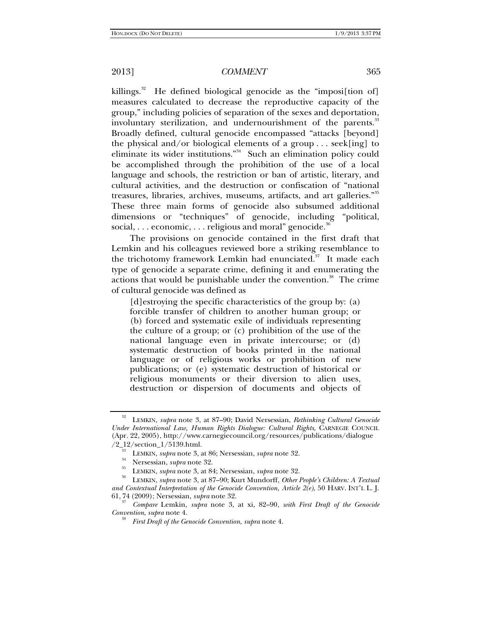killings.<sup>32</sup> He defined biological genocide as the "imposi[tion of] measures calculated to decrease the reproductive capacity of the group," including policies of separation of the sexes and deportation, involuntary sterilization, and undernourishment of the parents.<sup>33</sup> Broadly defined, cultural genocide encompassed "attacks [beyond] the physical and/or biological elements of a group . . . seek[ing] to eliminate its wider institutions. $34$  Such an elimination policy could be accomplished through the prohibition of the use of a local language and schools, the restriction or ban of artistic, literary, and cultural activities, and the destruction or confiscation of "national treasures, libraries, archives, museums, artifacts, and art galleries."<sup>35</sup> These three main forms of genocide also subsumed additional dimensions or "techniques" of genocide, including "political, social,  $\dots$  economic,  $\dots$  religious and moral" genocide.<sup>36</sup>

The provisions on genocide contained in the first draft that Lemkin and his colleagues reviewed bore a striking resemblance to the trichotomy framework Lemkin had enunciated.<sup>37</sup> It made each type of genocide a separate crime, defining it and enumerating the actions that would be punishable under the convention.<sup>38</sup> The crime of cultural genocide was defined as

[d]estroying the specific characteristics of the group by: (a) forcible transfer of children to another human group; or (b) forced and systematic exile of individuals representing the culture of a group; or (c) prohibition of the use of the national language even in private intercourse; or (d) systematic destruction of books printed in the national language or of religious works or prohibition of new publications; or (e) systematic destruction of historical or religious monuments or their diversion to alien uses, destruction or dispersion of documents and objects of

<sup>32</sup> LEMKIN, *supra* note 3, at 87–90; David Nersessian, *Rethinking Cultural Genocide Under International Law, Human Rights Dialogue: Cultural Rights*, CARNEGIE COUNCIL (Apr. 22, 2005), http://www.carnegiecouncil.org/resources/publications/dialogue

 $/2_{-12}/\text{section}\_1/5139.\text{html}.$ <br>
LEMKIN, *supra* note 3, at 86; Nersessian, *supra* note 32.<br>
<sup>34</sup> Nersessian, *supra* note 32.<br>
<sup>35</sup> LEMKIN, *supra* note 3, at 84; Nersessian, *supra* note 32.<br>
<sup>35</sup> LEMKIN, *supra* note 3, at *and Contextual Interpretation of the Genocide Convention, Article 2(e)*, 50 HARV. INT'L L. J. 61, <sup>74</sup> (2009); Nersessian, *supra* note 32. 37

*Compare* Lemkin, *supra* note 3, at xi, 82–90, *with First Draft of the Genocide Convention, supra* note 4.

*First Draft of the Genocide Convention*, *supra* note 4.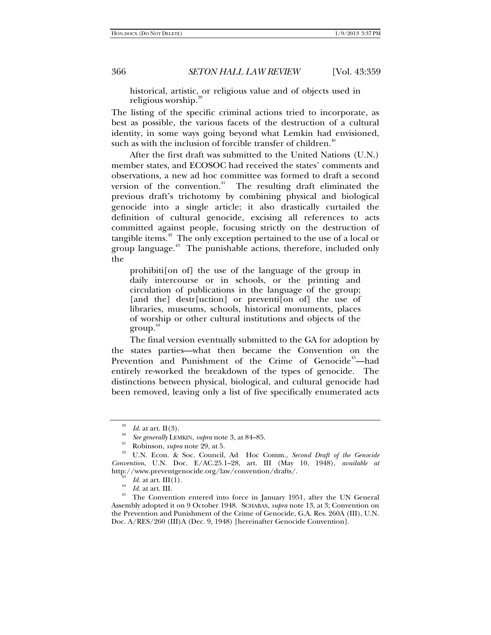historical, artistic, or religious value and of objects used in religious worship.

The listing of the specific criminal actions tried to incorporate, as best as possible, the various facets of the destruction of a cultural identity, in some ways going beyond what Lemkin had envisioned, such as with the inclusion of forcible transfer of children.<sup>41</sup>

After the first draft was submitted to the United Nations (U.N.) member states, and ECOSOC had received the states' comments and observations, a new ad hoc committee was formed to draft a second version of the convention.<sup>41</sup> The resulting draft eliminated the previous draft's trichotomy by combining physical and biological genocide into a single article; it also drastically curtailed the definition of cultural genocide, excising all references to acts committed against people, focusing strictly on the destruction of tangible items. $42$  The only exception pertained to the use of a local or group language. $43$  The punishable actions, therefore, included only the

prohibiti[on of] the use of the language of the group in daily intercourse or in schools, or the printing and circulation of publications in the language of the group; [and the] destr[uction] or preventi[on of] the use of libraries, museums, schools, historical monuments, places of worship or other cultural institutions and objects of the  $\text{group}^{\,44}$ 

The final version eventually submitted to the GA for adoption by the states parties—what then became the Convention on the Prevention and Punishment of the Crime of Genocide<sup>45</sup>—had entirely re-worked the breakdown of the types of genocide. The distinctions between physical, biological, and cultural genocide had been removed, leaving only a list of five specifically enumerated acts

<sup>39</sup>*Id*. at art. II(3). 40 *See generally* LEMKIN, *supra* note 3, at 84–85. 41 Robinson, *supra* note 29, at 5. 42 U.N. Econ. & Soc. Council, Ad Hoc Comm., *Second Draft of the Genocide Convention*, U.N. Doc. E/AC.25.1–28, art. III (May 10, 1948), *available at* http://www.preventgenocide.org/law/convention/drafts/.<br> $^{43}$  Id. at art. III(1).

<sup>&</sup>lt;sup>44</sup> *Id.* at art. III. **The Convention entered into force in January 1951, after the UN General** Assembly adopted it on 9 October 1948. SCHABAS, *supra* note 13, at 3; Convention on the Prevention and Punishment of the Crime of Genocide, G.A. Res. 260A (III), U.N. Doc. A/RES/260 (III)A (Dec. 9, 1948) [hereinafter Genocide Convention].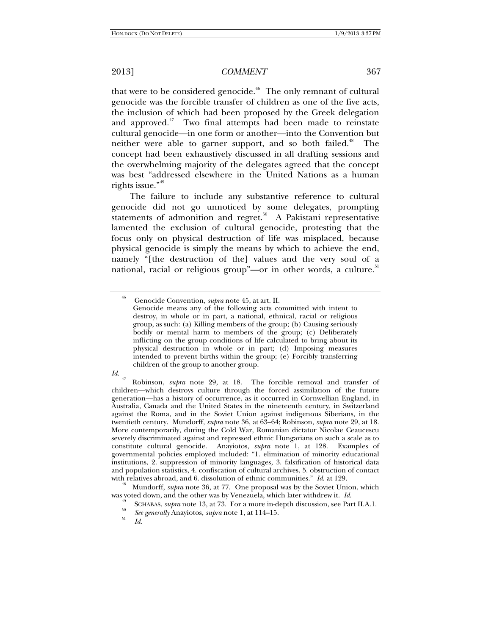that were to be considered genocide.<sup> $46$ </sup> The only remnant of cultural genocide was the forcible transfer of children as one of the five acts, the inclusion of which had been proposed by the Greek delegation and approved. $47$  Two final attempts had been made to reinstate cultural genocide—in one form or another—into the Convention but neither were able to garner support, and so both failed.<sup>48</sup> The concept had been exhaustively discussed in all drafting sessions and the overwhelming majority of the delegates agreed that the concept was best "addressed elsewhere in the United Nations as a human rights issue."<sup>49</sup>

The failure to include any substantive reference to cultural genocide did not go unnoticed by some delegates, prompting statements of admonition and regret.<sup>50</sup> A Pakistani representative lamented the exclusion of cultural genocide, protesting that the focus only on physical destruction of life was misplaced, because physical genocide is simply the means by which to achieve the end, namely "[the destruction of the] values and the very soul of a national, racial or religious group"—or in other words, a culture. $51$ 

<sup>48</sup> Mundorff, *supra* note 36, at 77. One proposal was by the Soviet Union, which was voted down, and the other was by Venezuela, which later withdrew it. *Id*.

<sup>46</sup> Genocide Convention, *supra* note 45, at art. II.

Genocide means any of the following acts committed with intent to destroy, in whole or in part, a national, ethnical, racial or religious group, as such: (a) Killing members of the group; (b) Causing seriously bodily or mental harm to members of the group; (c) Deliberately inflicting on the group conditions of life calculated to bring about its physical destruction in whole or in part; (d) Imposing measures intended to prevent births within the group; (e) Forcibly transferring children of the group to another group.

*Id.* 47 Robinson, *supra* note 29, at 18. The forcible removal and transfer of children—which destroys culture through the forced assimilation of the future generation—has a history of occurrence, as it occurred in Cornwellian England, in Australia, Canada and the United States in the nineteenth century, in Switzerland against the Roma, and in the Soviet Union against indigenous Siberians, in the twentieth century. Mundorff, *supra* note 36, at 63–64; Robinson, *supra* note 29, at 18. More contemporarily, during the Cold War, Romanian dictator Nicolae Ceaucescu severely discriminated against and repressed ethnic Hungarians on such a scale as to constitute cultural genocide. Anayiotos, *supra* note 1, at 128. Examples of governmental policies employed included: "1. elimination of minority educational institutions, 2. suppression of minority languages, 3. falsification of historical data and population statistics, 4. confiscation of cultural archives, 5. obstruction of contact with relatives abroad, and 6. dissolution of ethnic communities."  $Id$  at 129.

<sup>&</sup>lt;sup>49</sup> SCHABAS, *supra* note 13, at 73. For a more in-depth discussion, see Part II.A.1.<br><sup>50</sup> See generally Anayiotos, *supra* note 1, at 114–15.

*Id*.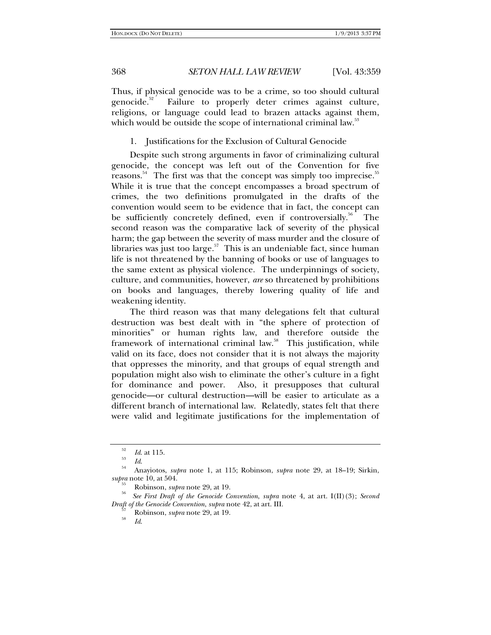Thus, if physical genocide was to be a crime, so too should cultural genocide. $52$  Failure to properly deter crimes against culture, religions, or language could lead to brazen attacks against them, which would be outside the scope of international criminal law.<sup>53</sup>

1. Justifications for the Exclusion of Cultural Genocide

Despite such strong arguments in favor of criminalizing cultural genocide, the concept was left out of the Convention for five reasons.<sup>54</sup> The first was that the concept was simply too imprecise.<sup>35</sup> While it is true that the concept encompasses a broad spectrum of crimes, the two definitions promulgated in the drafts of the convention would seem to be evidence that in fact, the concept can be sufficiently concretely defined, even if controversially.<sup>56</sup> The second reason was the comparative lack of severity of the physical harm; the gap between the severity of mass murder and the closure of libraries was just too large. $57$  This is an undeniable fact, since human life is not threatened by the banning of books or use of languages to the same extent as physical violence. The underpinnings of society, culture, and communities, however, *are* so threatened by prohibitions on books and languages, thereby lowering quality of life and weakening identity.

The third reason was that many delegations felt that cultural destruction was best dealt with in "the sphere of protection of minorities" or human rights law, and therefore outside the framework of international criminal law.<sup>58</sup> This justification, while valid on its face, does not consider that it is not always the majority that oppresses the minority, and that groups of equal strength and population might also wish to eliminate the other's culture in a fight for dominance and power. Also, it presupposes that cultural genocide—or cultural destruction—will be easier to articulate as a different branch of international law. Relatedly, states felt that there were valid and legitimate justifications for the implementation of

<sup>52</sup>*Id*. at 115. 53 *Id*. 54 Anayiotos, *supra* note 1, at 115; Robinson, *supra* note 29, at 18–19; Sirkin, *supra* note 10, at 504. 55 Robinson, *supra* note 29, at 19. 56 *See First Draft of the Genocide Convention*, *supra* note 4, at art. I(II)(3); *Second* 

*Draft of the Genocide Convention, supra* note 42, at art. III.<br><sup>57</sup> Robinson, *supra* note 29, at 19.

*Id*.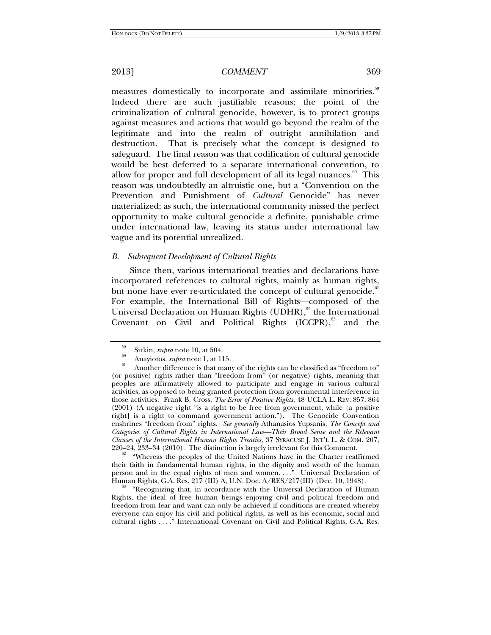measures domestically to incorporate and assimilate minorities.<sup>59</sup> Indeed there are such justifiable reasons; the point of the criminalization of cultural genocide, however, is to protect groups against measures and actions that would go beyond the realm of the legitimate and into the realm of outright annihilation and destruction. That is precisely what the concept is designed to safeguard. The final reason was that codification of cultural genocide would be best deferred to a separate international convention, to allow for proper and full development of all its legal nuances.<sup>60</sup> This reason was undoubtedly an altruistic one, but a "Convention on the Prevention and Punishment of *Cultural* Genocide" has never materialized; as such, the international community missed the perfect opportunity to make cultural genocide a definite, punishable crime under international law, leaving its status under international law vague and its potential unrealized.

### *B. Subsequent Development of Cultural Rights*

Since then, various international treaties and declarations have incorporated references to cultural rights, mainly as human rights, but none have ever re-articulated the concept of cultural genocide.<sup>61</sup> For example, the International Bill of Rights—composed of the Universal Declaration on Human Rights (UDHR), $62$  the International Covenant on Civil and Political Rights  $(ICCPR)$ ,<sup>63</sup> and the

220–24, 233–34 (2010). The distinction is largely irrelevant for this Comment.<br><sup>62</sup> "Whereas the peoples of the United Nations have in the Charter reaffirmed their faith in fundamental human rights, in the dignity and worth of the human person and in the equal rights of men and women...." Universal Declaration of Human Rights, G.A. Res. 217 (III) A, U.N. Doc. A/RES/217(III) (Dec. 10, 1948).

"Recognizing that, in accordance with the Universal Declaration of Human Rights, the ideal of free human beings enjoying civil and political freedom and freedom from fear and want can only be achieved if conditions are created whereby everyone can enjoy his civil and political rights, as well as his economic, social and cultural rights . . . ." International Covenant on Civil and Political Rights, G.A. Res.

<sup>&</sup>lt;sup>59</sup> Sirkin, *supra* note 10, at 504.<br>
<sup>60</sup> Anayiotos, *supra* note 1, at 115.<br>
<sup>61</sup> Another difference is that many of the rights can be classified as "freedom to" (or positive) rights rather than "freedom from" (or negative) rights, meaning that peoples are affirmatively allowed to participate and engage in various cultural activities, as opposed to being granted protection from governmental interference in those activities. Frank B. Cross, *The Error of Positive Rights*, 48 UCLA L. REV. 857, 864 (2001) (A negative right "is a right to be free from government, while [a positive right] is a right to command government action."). The Genocide Convention enshrines "freedom from" rights. *See generally* Athanasios Yupsanis, *The Concept and Categories of Cultural Rights in International Law—Their Broad Sense and the Relevant Clauses of the International Human Rights Treaties*, 37 SYRACUSE J. INT'L L. & COM. 207,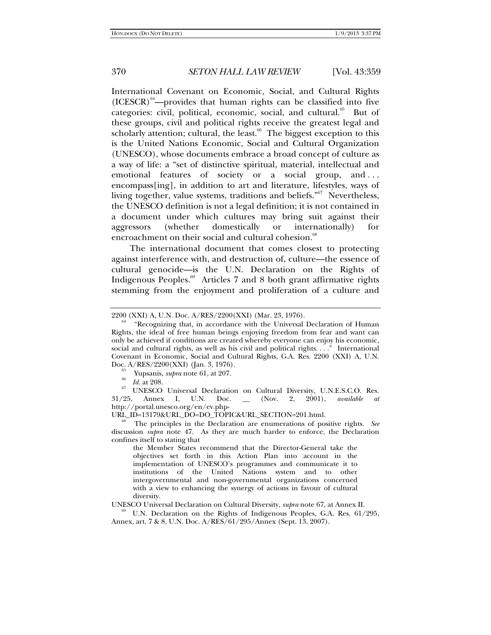International Covenant on Economic, Social, and Cultural Rights  $(ICESCR)^{64}$ —provides that human rights can be classified into five categories: civil, political, economic, social, and cultural.<sup>65</sup> But of these groups, civil and political rights receive the greatest legal and scholarly attention; cultural, the least. $66$  The biggest exception to this is the United Nations Economic, Social and Cultural Organization (UNESCO), whose documents embrace a broad concept of culture as a way of life: a "set of distinctive spiritual, material, intellectual and emotional features of society or a social group, and . . . encompass[ing], in addition to art and literature, lifestyles, ways of living together, value systems, traditions and beliefs."<sup>67</sup> Nevertheless, the UNESCO definition is not a legal definition; it is not contained in a document under which cultures may bring suit against their aggressors (whether domestically or internationally) for encroachment on their social and cultural cohesion.<sup>68</sup>

The international document that comes closest to protecting against interference with, and destruction of, culture—the essence of cultural genocide—is the U.N. Declaration on the Rights of Indigenous Peoples.69 Articles 7 and 8 both grant affirmative rights stemming from the enjoyment and proliferation of a culture and

 $\begin{array}{cc}\n ^{65} & \text{Yupsanis, } *supra* \text{ note 61, at 207.} \\
 ^{66} & \text{Id. at 208.}\n \end{array}$ 

<sup>67</sup> UNESCO Universal Declaration on Cultural Diversity, U.N.E.S.C.O. Res.<br>
<sup>2</sup>25, Annex I, U.N. Doc. \_\_ (Nov. 2, 2001), *available at* 31/25, Annex I, U.N. Doc. \_\_ (Nov. 2, 2001), *available at*

http://portal.unesco.org/en/ev.php-<br>URL\_ID=13179&URL\_DO=DO\_TOPIC&URL\_SECTION=201.html.

The principles in the Declaration are enumerations of positive rights. See discussion *supra* note 47. As they are much harder to enforce, the Declaration confines itself to stating that

the Member States recommend that the Director-General take the objectives set forth in this Action Plan into account in the implementation of UNESCO's programmes and communicate it to institutions of the United Nations system and to other intergovernmental and non-governmental organizations concerned with a view to enhancing the synergy of actions in favour of cultural diversity.

UNESCO Universal Declaration on Cultural Diversity, *supra* note 67, at Annex II. 69 U.N. Declaration on the Rights of Indigenous Peoples, G.A. Res. 61/295, Annex, art. 7 & 8, U.N. Doc. A/RES/61/295/Annex (Sept. 13, 2007).

<sup>2200 (</sup>XXI) A, U.N. Doc.  $A/RES/2200(XXI)$  (Mar. 23, 1976).<br><sup>64</sup> "Recognizing that, in accordance with the Universal Declaration of Human Rights, the ideal of free human beings enjoying freedom from fear and want can only be achieved if conditions are created whereby everyone can enjoy his economic, social and cultural rights, as well as his civil and political rights. . . ." International Covenant in Economic, Social and Cultural Rights, G.A. Res. 2200 (XXI) A, U.N. Doc. A/RES/2200(XXI) (Jan. 3, 1976).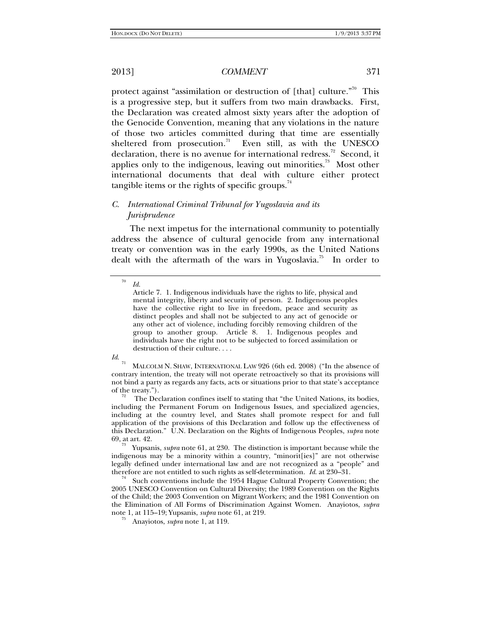protect against "assimilation or destruction of [that] culture."<sup>70</sup> This is a progressive step, but it suffers from two main drawbacks. First, the Declaration was created almost sixty years after the adoption of the Genocide Convention, meaning that any violations in the nature of those two articles committed during that time are essentially sheltered from prosecution.<sup>71</sup> Even still, as with the UNESCO declaration, there is no avenue for international redress.<sup>72</sup> Second, it applies only to the indigenous, leaving out minorities.<sup>73</sup> Most other international documents that deal with culture either protect tangible items or the rights of specific groups. $74$ 

# *C. International Criminal Tribunal for Yugoslavia and its Jurisprudence*

The next impetus for the international community to potentially address the absence of cultural genocide from any international treaty or convention was in the early 1990s, as the United Nations dealt with the aftermath of the wars in Yugoslavia.<sup>75</sup> In order to

*Id*.

including the Permanent Forum on Indigenous Issues, and specialized agencies, including at the country level, and States shall promote respect for and full application of the provisions of this Declaration and follow up the effectiveness of this Declaration." U.N. Declaration on the Rights of Indigenous Peoples, *supra* note 69, at art. 42. 73 Yupsanis, *supra* note 61, at 230. The distinction is important because while the

indigenous may be a minority within a country, "minorit[ies]" are not otherwise legally defined under international law and are not recognized as a "people" and therefore are not entitled to such rights as self-determination.  $Id$  at 230–31.

<sup>74</sup> Such conventions include the 1954 Hague Cultural Property Convention; the 2005 UNESCO Convention on Cultural Diversity; the 1989 Convention on the Rights of the Child; the 2003 Convention on Migrant Workers; and the 1981 Convention on the Elimination of All Forms of Discrimination Against Women. Anayiotos, *supra* note 1, at 115–19; Yupsanis, *supra* note 61, at 219. 75 Anayiotos, *supra* note 1, at 119.

<sup>70</sup> *Id*.

Article 7. 1. Indigenous individuals have the rights to life, physical and mental integrity, liberty and security of person. 2. Indigenous peoples have the collective right to live in freedom, peace and security as distinct peoples and shall not be subjected to any act of genocide or any other act of violence, including forcibly removing children of the group to another group. Article 8. 1. Indigenous peoples and individuals have the right not to be subjected to forced assimilation or destruction of their culture. . . .

MALCOLM N. SHAW, INTERNATIONAL LAW 926 (6th ed. 2008) ("In the absence of contrary intention, the treaty will not operate retroactively so that its provisions will not bind a party as regards any facts, acts or situations prior to that state's acceptance % of the treaty.").<br>The Declaration confines itself to stating that "the United Nations, its bodies,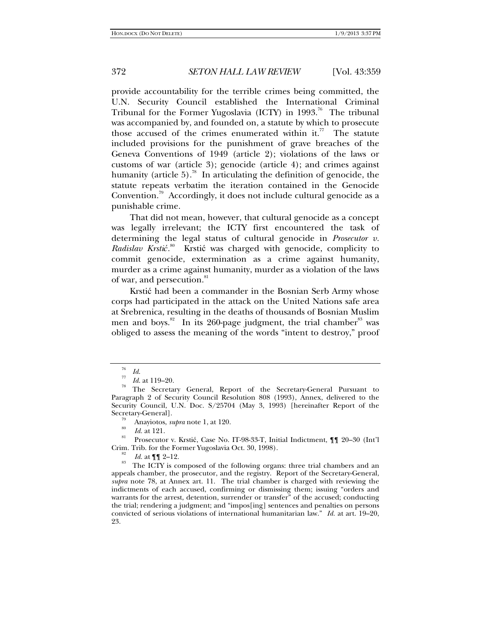provide accountability for the terrible crimes being committed, the U.N. Security Council established the International Criminal Tribunal for the Former Yugoslavia (ICTY) in 1993.<sup>76</sup> The tribunal was accompanied by, and founded on, a statute by which to prosecute those accused of the crimes enumerated within it.<sup>77</sup> The statute included provisions for the punishment of grave breaches of the Geneva Conventions of 1949 (article 2); violations of the laws or customs of war (article 3); genocide (article 4); and crimes against humanity (article 5).<sup>78</sup> In articulating the definition of genocide, the statute repeats verbatim the iteration contained in the Genocide Convention.<sup>79</sup> Accordingly, it does not include cultural genocide as a punishable crime.

That did not mean, however, that cultural genocide as a concept was legally irrelevant; the ICTY first encountered the task of determining the legal status of cultural genocide in *Prosecutor v. Radislav Krstić.* 80 Krstić was charged with genocide, complicity to commit genocide, extermination as a crime against humanity, murder as a crime against humanity, murder as a violation of the laws of war, and persecution.<sup>81</sup>

Krstić had been a commander in the Bosnian Serb Army whose corps had participated in the attack on the United Nations safe area at Srebrenica, resulting in the deaths of thousands of Bosnian Muslim men and boys.<sup>82</sup> In its 260-page judgment, the trial chamber<sup>83</sup> was obliged to assess the meaning of the words "intent to destroy," proof

Secretary-General Martian *Ind.* 80 Anayiotos, *supra* note 1, at 120.<br>
<sup>80</sup> *Id.* at 121. <br>
81 Prosecutor v. Krstić, Case No. IT-98-33-T, Initial Indictment, ¶¶ 20–30 (Int'l

Crim. Trib. for the Former Yugoslavia Oct. 30, 1998).<br><sup>82</sup> *Id.* at ¶¶ 2–12.<br><sup>83</sup> The ICTY is composed of the following organs: three trial chambers and an appeals chamber, the prosecutor, and the registry. Report of the Secretary-General, *supra* note 78, at Annex art. 11. The trial chamber is charged with reviewing the indictments of each accused, confirming or dismissing them; issuing "orders and warrants for the arrest, detention, surrender or transfer" of the accused; conducting the trial; rendering a judgment; and "impos[ing] sentences and penalties on persons convicted of serious violations of international humanitarian law." *Id.* at art. 19–20, 23.

<sup>76</sup>*Id*. 77 *Id*. at 119–20. 78 The Secretary General, Report of the Secretary-General Pursuant to Paragraph 2 of Security Council Resolution 808 (1993), Annex, delivered to the Security Council, U.N. Doc. S/25704 (May 3, 1993) [hereinafter Report of the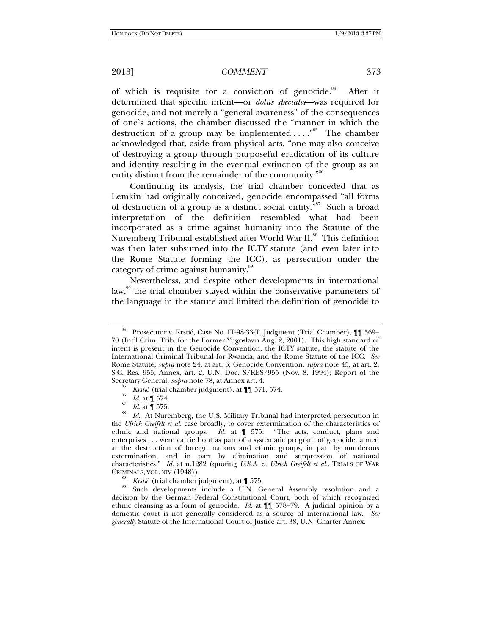of which is requisite for a conviction of genocide.<sup>84</sup> After it determined that specific intent—or *dolus specialis*—was required for genocide, and not merely a "general awareness" of the consequences of one's actions, the chamber discussed the "manner in which the destruction of a group may be implemented  $\dots$ ."<sup>85</sup> The chamber acknowledged that, aside from physical acts, "one may also conceive of destroying a group through purposeful eradication of its culture and identity resulting in the eventual extinction of the group as an entity distinct from the remainder of the community."<sup>86</sup>

Continuing its analysis, the trial chamber conceded that as Lemkin had originally conceived, genocide encompassed "all forms of destruction of a group as a distinct social entity."<sup>87</sup> Such a broad interpretation of the definition resembled what had been incorporated as a crime against humanity into the Statute of the Nuremberg Tribunal established after World War II.<sup>88</sup> This definition was then later subsumed into the ICTY statute (and even later into the Rome Statute forming the ICC), as persecution under the category of crime against humanity.<sup>89</sup>

Nevertheless, and despite other developments in international law,<sup>90</sup> the trial chamber stayed within the conservative parameters of the language in the statute and limited the definition of genocide to

<sup>84</sup> Prosecutor v. Krstić, Case No. IT-98-33-T, Judgment (Trial Chamber), ¶¶ 569– 70 (Int'l Crim. Trib. for the Former Yugoslavia Aug. 2, 2001). This high standard of intent is present in the Genocide Convention, the ICTY statute, the statute of the International Criminal Tribunal for Rwanda, and the Rome Statute of the ICC. *See* Rome Statute, *supra* note 24, at art. 6; Genocide Convention, *supra* note 45, at art. 2; S.C. Res. 955, Annex, art. 2, U.N. Doc. S/RES/955 (Nov. 8, 1994); Report of the Secretary-General, *supra* note 78, at Annex art. 4.

<sup>&</sup>lt;sup>85</sup> *Krstić* (trial chamber judgment), at ¶ 571, 574.<br><sup>87</sup> *Id.* at ¶ 574.<br><sup>87</sup> *Id.* at ¶ 575.

 $\frac{1}{88}$  *Id.* at  $\frac{1}{88}$  575.

*Id*. At Nuremberg, the U.S. Military Tribunal had interpreted persecution in the *Ulrich Greifelt et al.* case broadly, to cover extermination of the characteristics of ethnic and national groups. *Id.* at ¶ 575. "The acts, conduct, plans and enterprises . . . were carried out as part of a systematic program of genocide, aimed at the destruction of foreign nations and ethnic groups, in part by murderous extermination, and in part by elimination and suppression of national characteristics." *Id*. at n.1282 (quoting *U.S.A. v. Ulrich Greifelt et al.*, TRIALS OF WAR CRIMINALS, VOL. XIV (1948)).<br> *S*<sup>89</sup> *Krstić* (trial chamber judgment), at **[** 575.

<sup>&</sup>lt;sup>90</sup> Such developments include a U.N. General Assembly resolution and a decision by the German Federal Constitutional Court, both of which recognized ethnic cleansing as a form of genocide. *Id.* at ¶¶ 578–79. A judicial opinion by a domestic court is not generally considered as a source of international law. *See generally* Statute of the International Court of Justice art. 38, U.N. Charter Annex.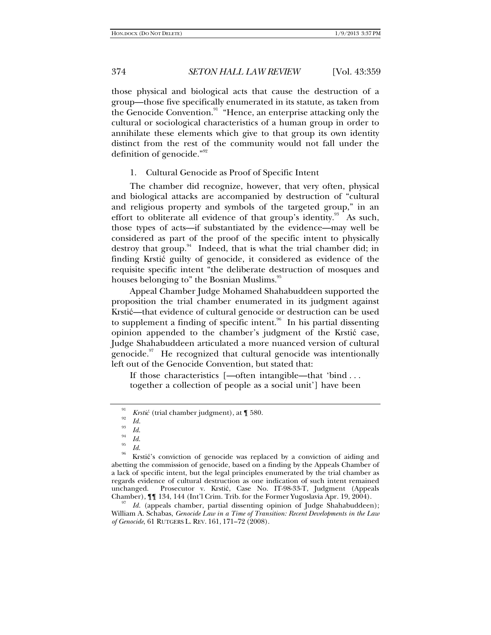those physical and biological acts that cause the destruction of a group—those five specifically enumerated in its statute, as taken from the Genocide Convention.<sup>91</sup> "Hence, an enterprise attacking only the cultural or sociological characteristics of a human group in order to annihilate these elements which give to that group its own identity distinct from the rest of the community would not fall under the definition of genocide."<sup>92</sup>

### 1. Cultural Genocide as Proof of Specific Intent

The chamber did recognize, however, that very often, physical and biological attacks are accompanied by destruction of "cultural and religious property and symbols of the targeted group," in an effort to obliterate all evidence of that group's identity.<sup>93</sup> As such, those types of acts—if substantiated by the evidence—may well be considered as part of the proof of the specific intent to physically destroy that group.<sup>94</sup> Indeed, that is what the trial chamber did; in finding Krstić guilty of genocide, it considered as evidence of the requisite specific intent "the deliberate destruction of mosques and houses belonging to" the Bosnian Muslims.<sup>95</sup>

Appeal Chamber Judge Mohamed Shahabuddeen supported the proposition the trial chamber enumerated in its judgment against Krstić—that evidence of cultural genocide or destruction can be used to supplement a finding of specific intent.<sup>96</sup> In his partial dissenting opinion appended to the chamber's judgment of the Krstić case, Judge Shahabuddeen articulated a more nuanced version of cultural genocide. $97$  He recognized that cultural genocide was intentionally left out of the Genocide Convention, but stated that:

If those characteristics [—often intangible—that 'bind . . . together a collection of people as a social unit'] have been

Id. (appeals chamber, partial dissenting opinion of Judge Shahabuddeen); William A. Schabas, *Genocide Law in a Time of Transition: Recent Developments in the Law of Genocide*, 61 RUTGERS L. REV. 161, 171–72 (2008).

<sup>&</sup>lt;sup>91</sup>*Krstić* (trial chamber judgment), at  $\P$  580.<br><sup>92</sup>*Id.* 

<sup>&</sup>lt;sup>93</sup> Id.<br><sup>94</sup> Id.

<sup>&</sup>lt;sup>95</sup> *Id. Id.* 86 Krstić's conviction of genocide was replaced by a conviction of aiding and abetting the commission of genocide, based on a finding by the Appeals Chamber of a lack of specific intent, but the legal principles enumerated by the trial chamber as regards evidence of cultural destruction as one indication of such intent remained unchanged. Prosecutor v. Krstić, Case No. IT-98-33-T, Judgment (Appeals Chamber),  $\P$  134, 144 (Int'l Crim. Trib. for the Former Yugoslavia Apr. 19, 2004).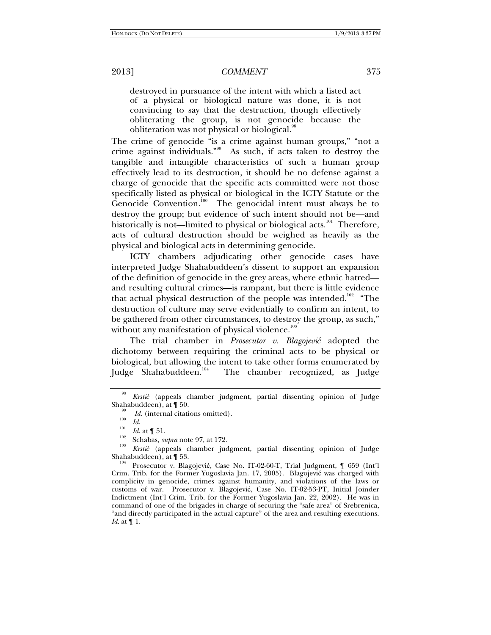destroyed in pursuance of the intent with which a listed act of a physical or biological nature was done, it is not convincing to say that the destruction, though effectively obliterating the group, is not genocide because the obliteration was not physical or biological.<sup>98</sup>

The crime of genocide "is a crime against human groups," "not a crime against individuals."99 As such, if acts taken to destroy the tangible and intangible characteristics of such a human group effectively lead to its destruction, it should be no defense against a charge of genocide that the specific acts committed were not those specifically listed as physical or biological in the ICTY Statute or the Genocide Convention.<sup>100</sup> The genocidal intent must always be to destroy the group; but evidence of such intent should not be—and historically is not—limited to physical or biological acts.<sup>101</sup> Therefore, acts of cultural destruction should be weighed as heavily as the physical and biological acts in determining genocide.

ICTY chambers adjudicating other genocide cases have interpreted Judge Shahabuddeen's dissent to support an expansion of the definition of genocide in the grey areas, where ethnic hatred and resulting cultural crimes—is rampant, but there is little evidence that actual physical destruction of the people was intended.<sup>102</sup> "The destruction of culture may serve evidentially to confirm an intent, to be gathered from other circumstances, to destroy the group, as such," without any manifestation of physical violence. $10$ 

The trial chamber in *Prosecutor v. Blagojević* adopted the dichotomy between requiring the criminal acts to be physical or biological, but allowing the intent to take other forms enumerated by<br>Judge Shahabuddeen.<sup>104</sup> The chamber recognized, as Judge The chamber recognized, as Judge

<sup>98</sup> *Krstić* (appeals chamber judgment, partial dissenting opinion of Judge Shahabuddeen), at  $\P$  50.<br><sup>99</sup> *Id.* (internal citations omitted).

*Id.* (internal citations omitted). 100<br> *Id.* at ¶ 51. Schabas, *supra* note 97, at 172.

*Krstić* (appeals chamber judgment, partial dissenting opinion of Judge Shahabuddeen), at  $\parallel$  53.<br><sup>104</sup> Prosecutor v. Blagojević, Case No. IT-02-60-T, Trial Judgment,  $\parallel$  659 (Int'l

Crim. Trib. for the Former Yugoslavia Jan. 17, 2005). Blagojević was charged with complicity in genocide, crimes against humanity, and violations of the laws or customs of war. Prosecutor v. Blagojević, Case No. IT-02-53-PT, Initial Joinder Indictment (Int'l Crim. Trib. for the Former Yugoslavia Jan. 22, 2002). He was in command of one of the brigades in charge of securing the "safe area" of Srebrenica, "and directly participated in the actual capture" of the area and resulting executions. *Id*. at ¶ 1.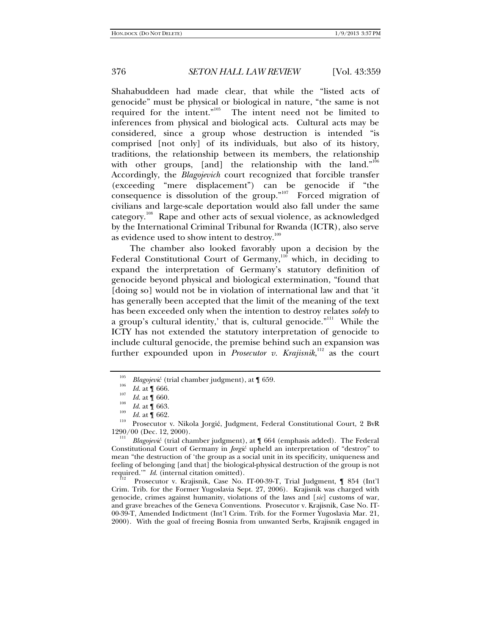Shahabuddeen had made clear, that while the "listed acts of genocide" must be physical or biological in nature, "the same is not required for the intent."105 The intent need not be limited to inferences from physical and biological acts. Cultural acts may be considered, since a group whose destruction is intended "is comprised [not only] of its individuals, but also of its history, traditions, the relationship between its members, the relationship with other groups, [and] the relationship with the land."<sup>106</sup> Accordingly, the *Blagojevich* court recognized that forcible transfer (exceeding "mere displacement") can be genocide if "the consequence is dissolution of the group."107 Forced migration of civilians and large-scale deportation would also fall under the same category.<sup>108</sup> Rape and other acts of sexual violence, as acknowledged by the International Criminal Tribunal for Rwanda (ICTR), also serve as evidence used to show intent to destroy.<sup>109</sup>

The chamber also looked favorably upon a decision by the Federal Constitutional Court of Germany, $110^6$  which, in deciding to expand the interpretation of Germany's statutory definition of genocide beyond physical and biological extermination, "found that [doing so] would not be in violation of international law and that 'it has generally been accepted that the limit of the meaning of the text has been exceeded only when the intention to destroy relates *solely* to a group's cultural identity,' that is, cultural genocide. $"$ <sup>111</sup> While the ICTY has not extended the statutory interpretation of genocide to include cultural genocide, the premise behind such an expansion was further expounded upon in *Prosecutor v. Krajisnik*,<sup>112</sup> as the court

1290/00 (Dec. 12, 2000). 111 *Blagojević* (trial chamber judgment), at ¶ 664 (emphasis added). The Federal Constitutional Court of Germany in *Jorgić* upheld an interpretation of "destroy" to mean "the destruction of 'the group as a social unit in its specificity, uniqueness and feeling of belonging [and that] the biological-physical destruction of the group is not required."  $Id$ . (internal citation omitted).

Prosecutor v. Krajisnik, Case No. IT-00-39-T, Trial Judgment, ¶ 854 (Int'l Crim. Trib. for the Former Yugoslavia Sept. 27, 2006). Krajisnik was charged with genocide, crimes against humanity, violations of the laws and [*sic*] customs of war, and grave breaches of the Geneva Conventions. Prosecutor v. Krajisnik, Case No. IT-00-39-T, Amended Indictment (Int'l Crim. Trib. for the Former Yugoslavia Mar. 21, 2000). With the goal of freeing Bosnia from unwanted Serbs, Krajisnik engaged in

<sup>105</sup> <sup>105</sup> *Blagojević* (trial chamber judgment), at ¶ 659.<br> *Id.* at ¶ 666.<br>
<sup>107</sup> *I J*. **f** 660.

<sup>&</sup>lt;sup>107</sup> *Id.* at **[** 660.<br>*Id.* at **[** 663.

<sup>&</sup>lt;sup>109</sup> *Id.* at  $\hat{\mathbf{T}}$  662. <br><sup>110</sup> Prosecutor v. Nikola Jorgić, Judgment, Federal Constitutional Court, 2 BvR<br>1290/00 (Dec. 12, 2000).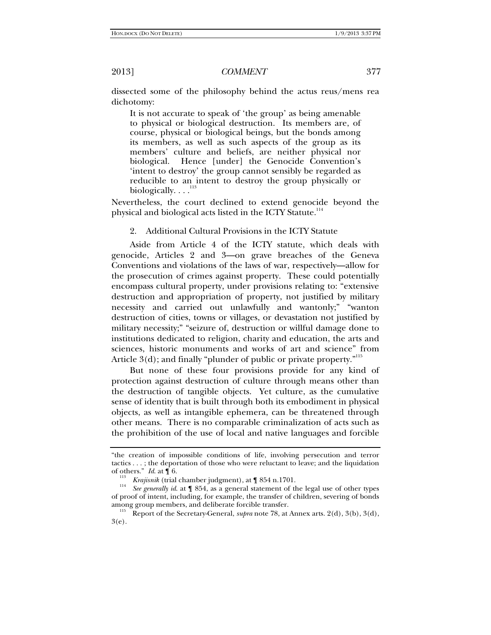dissected some of the philosophy behind the actus reus/mens rea dichotomy:

It is not accurate to speak of 'the group' as being amenable to physical or biological destruction. Its members are, of course, physical or biological beings, but the bonds among its members, as well as such aspects of the group as its members' culture and beliefs, are neither physical nor biological. Hence [under] the Genocide Convention's 'intent to destroy' the group cannot sensibly be regarded as reducible to an intent to destroy the group physically or biologically.  $\dots$ <sup>113</sup>

Nevertheless, the court declined to extend genocide beyond the physical and biological acts listed in the ICTY Statute.<sup>114</sup>

2. Additional Cultural Provisions in the ICTY Statute

Aside from Article 4 of the ICTY statute, which deals with genocide, Articles 2 and 3—on grave breaches of the Geneva Conventions and violations of the laws of war, respectively—allow for the prosecution of crimes against property. These could potentially encompass cultural property, under provisions relating to: "extensive destruction and appropriation of property, not justified by military necessity and carried out unlawfully and wantonly;" "wanton destruction of cities, towns or villages, or devastation not justified by military necessity;" "seizure of, destruction or willful damage done to institutions dedicated to religion, charity and education, the arts and sciences, historic monuments and works of art and science" from Article  $3(d)$ ; and finally "plunder of public or private property."<sup>115</sup>

But none of these four provisions provide for any kind of protection against destruction of culture through means other than the destruction of tangible objects. Yet culture, as the cumulative sense of identity that is built through both its embodiment in physical objects, as well as intangible ephemera, can be threatened through other means. There is no comparable criminalization of acts such as the prohibition of the use of local and native languages and forcible

<sup>&</sup>quot;the creation of impossible conditions of life, involving persecution and terror tactics . . . ; the deportation of those who were reluctant to leave; and the liquidation of others." *Id.* at  $\[\n\begin{bmatrix} 6 \end{bmatrix}\n\]$  6.<br><sup>113</sup> *Krajisnik* (trial chamber judgment), at  $\[\n\begin{bmatrix} 854 \text{ n.}1701 \end{bmatrix}\]$ .

<sup>&</sup>lt;sup>114</sup> See generally *id.* at  $\llbracket$  854, as a general statement of the legal use of other types of proof of intent, including, for example, the transfer of children, severing of bonds

<sup>&</sup>lt;sup>115</sup> Report of the Secretary-General, *supra* note 78, at Annex arts. 2(d), 3(b), 3(d), 3(e).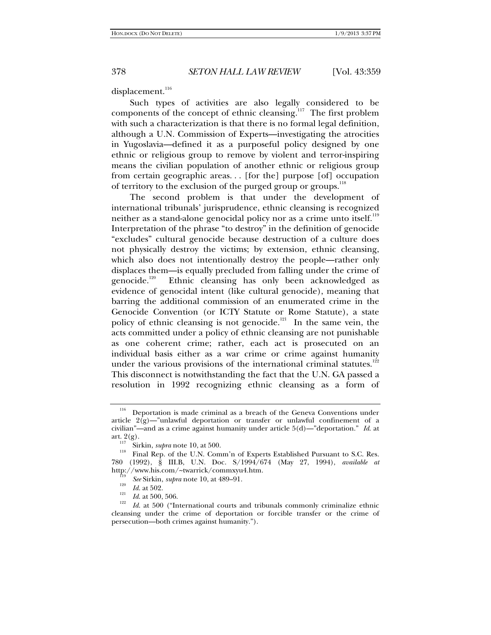# displacement.<sup>116</sup>

Such types of activities are also legally considered to be components of the concept of ethnic cleansing. $117$  The first problem with such a characterization is that there is no formal legal definition, although a U.N. Commission of Experts—investigating the atrocities in Yugoslavia—defined it as a purposeful policy designed by one ethnic or religious group to remove by violent and terror-inspiring means the civilian population of another ethnic or religious group from certain geographic areas. . . [for the] purpose [of] occupation of territory to the exclusion of the purged group or groups.<sup>118</sup>

The second problem is that under the development of international tribunals' jurisprudence, ethnic cleansing is recognized neither as a stand-alone genocidal policy nor as a crime unto itself.<sup>119</sup> Interpretation of the phrase "to destroy" in the definition of genocide "excludes" cultural genocide because destruction of a culture does not physically destroy the victims; by extension, ethnic cleansing, which also does not intentionally destroy the people—rather only displaces them—is equally precluded from falling under the crime of genocide.<sup>120</sup> Ethnic cleansing has only been acknowledged as Ethnic cleansing has only been acknowledged as evidence of genocidal intent (like cultural genocide), meaning that barring the additional commission of an enumerated crime in the Genocide Convention (or ICTY Statute or Rome Statute), a state policy of ethnic cleansing is not genocide.<sup>121</sup> In the same vein, the acts committed under a policy of ethnic cleansing are not punishable as one coherent crime; rather, each act is prosecuted on an individual basis either as a war crime or crime against humanity under the various provisions of the international criminal statutes.<sup>122</sup> This disconnect is notwithstanding the fact that the U.N. GA passed a resolution in 1992 recognizing ethnic cleansing as a form of

 $116$  Deportation is made criminal as a breach of the Geneva Conventions under article  $2(g)$ —"unlawful deportation or transfer or unlawful confinement of a civilian"—and as a crime against humanity under article  $5(d)$ —"deportation." *Id.* at art.  $2(g)$ .<br><sup>117</sup> Sighin submanate 10 at  $500$ 

<sup>&</sup>lt;sup>117</sup> Sirkin, *supra* note 10, at 500.<br><sup>118</sup> Final Rep. of the U.N. Comm'n of Experts Established Pursuant to S.C. Res. 780 (1992), § III.B, U.N. Doc. S/1994/674 (May 27, 1994), *available at* http://www.his.com/~twarrick/commxyu4.htm. 119 *See* Sirkin, *supra* note 10, at 489–91. 120

<sup>&</sup>lt;sup>120</sup> *Id.* at 502.<br><sup>121</sup> *Id.* at 500, 506.

<sup>&</sup>lt;sup>122</sup> *Id.* at 500 ("International courts and tribunals commonly criminalize ethnic cleansing under the crime of deportation or forcible transfer or the crime of persecution—both crimes against humanity.").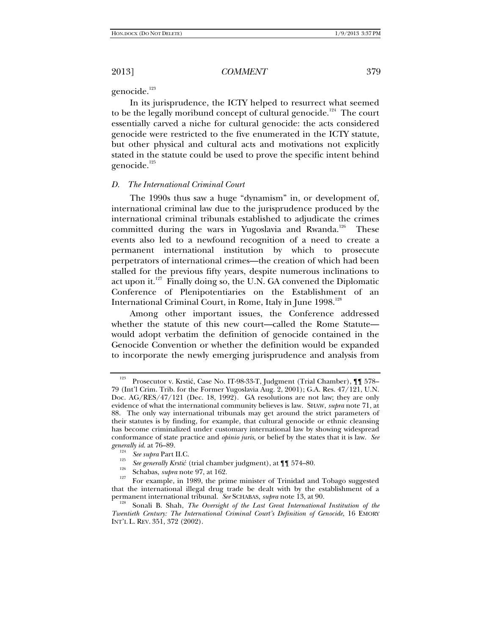genocide.<sup>123</sup>

In its jurisprudence, the ICTY helped to resurrect what seemed to be the legally moribund concept of cultural genocide.<sup>124</sup> The court essentially carved a niche for cultural genocide: the acts considered genocide were restricted to the five enumerated in the ICTY statute, but other physical and cultural acts and motivations not explicitly stated in the statute could be used to prove the specific intent behind genocide.<sup>125</sup>

### *D. The International Criminal Court*

The 1990s thus saw a huge "dynamism" in, or development of, international criminal law due to the jurisprudence produced by the international criminal tribunals established to adjudicate the crimes committed during the wars in Yugoslavia and Rwanda.<sup>126</sup> These events also led to a newfound recognition of a need to create a permanent international institution by which to prosecute perpetrators of international crimes—the creation of which had been stalled for the previous fifty years, despite numerous inclinations to act upon it.<sup>127</sup> Finally doing so, the U.N. GA convened the Diplomatic Conference of Plenipotentiaries on the Establishment of an International Criminal Court, in Rome, Italy in June 1998.<sup>128</sup>

Among other important issues, the Conference addressed whether the statute of this new court—called the Rome Statute would adopt verbatim the definition of genocide contained in the Genocide Convention or whether the definition would be expanded to incorporate the newly emerging jurisprudence and analysis from

<sup>123</sup> Prosecutor v. Krstić, Case No. IT-98-33-T, Judgment (Trial Chamber), ¶¶ 578– 79 (Int'l Crim. Trib. for the Former Yugoslavia Aug. 2, 2001); G.A. Res. 47/121, U.N. Doc. AG/RES/47/121 (Dec. 18, 1992). GA resolutions are not law; they are only evidence of what the international community believes is law. SHAW, *supra* note 71, at 88. The only way international tribunals may get around the strict parameters of their statutes is by finding, for example, that cultural genocide or ethnic cleansing has become criminalized under customary international law by showing widespread conformance of state practice and *opinio juris*, or belief by the states that it is law. *See generally id.* at 76–89.

<sup>&</sup>lt;sup>124</sup> See supra Part II.C.<br><sup>125</sup> See generally Krstić (trial chamber judgment), at ¶¶ 574–80.

<sup>&</sup>lt;sup>126</sup> Schabas, *supra* note 97, at 162. 127<br><sup>127</sup> For example, in 1989, the prime minister of Trinidad and Tobago suggested that the international illegal drug trade be dealt with by the establishment of a permanent international tribunal. See SCHABAS, supra note 13, at 90.

Sonali B. Shah, *The Oversight of the Last Great International Institution of the Twentieth Century: The International Criminal Court's Definition of Genocide*, 16 EMORY INT'L L. REV. 351, 372 (2002).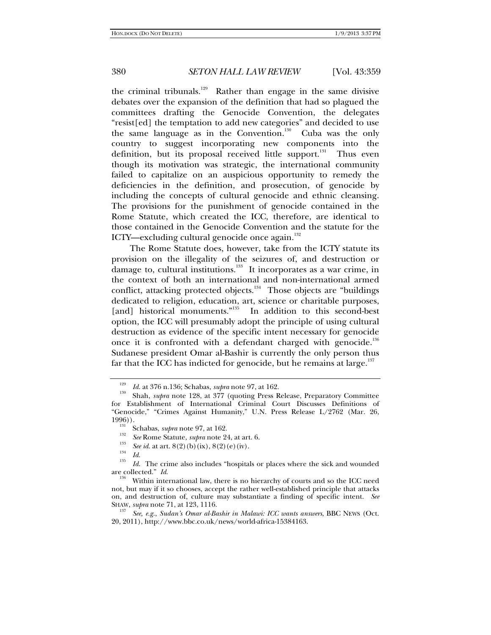the criminal tribunals.<sup>129</sup> Rather than engage in the same divisive debates over the expansion of the definition that had so plagued the committees drafting the Genocide Convention, the delegates "resist[ed] the temptation to add new categories" and decided to use the same language as in the Convention.<sup>130</sup> Cuba was the only country to suggest incorporating new components into the definition, but its proposal received little support.<sup>131</sup> Thus even though its motivation was strategic, the international community failed to capitalize on an auspicious opportunity to remedy the deficiencies in the definition, and prosecution, of genocide by including the concepts of cultural genocide and ethnic cleansing. The provisions for the punishment of genocide contained in the Rome Statute, which created the ICC, therefore, are identical to those contained in the Genocide Convention and the statute for the ICTY—excluding cultural genocide once again.<sup>132</sup>

The Rome Statute does, however, take from the ICTY statute its provision on the illegality of the seizures of, and destruction or damage to, cultural institutions.<sup>133</sup> It incorporates as a war crime, in the context of both an international and non-international armed conflict, attacking protected objects.<sup>134</sup> Those objects are "buildings dedicated to religion, education, art, science or charitable purposes, [and] historical monuments."<sup>135</sup> In addition to this second-best option, the ICC will presumably adopt the principle of using cultural destruction as evidence of the specific intent necessary for genocide once it is confronted with a defendant charged with genocide.<sup>136</sup> Sudanese president Omar al-Bashir is currently the only person thus far that the ICC has indicted for genocide, but he remains at large. $137$ 

<sup>133</sup> *See id.* at art. 8(2)(b)(ix), 8(2)(e)(iv).<br><sup>134</sup> *Id.* 135 *Id.* 135 **Id.** 135 **Id.** 135 **Id.** 135 **Id.** 135 **Id.** 135 **Id.** 135 **Id.** 135 **Id.** 135 **Id.** 135 **Id.** 135 **Id.** 135 **Id.** 135 **Id.** 135 **Id.** 135 **Id.**

<sup>129</sup>

<sup>&</sup>lt;sup>129</sup> *Id.* at 376 n.136; Schabas, *supra* note 97, at 162.<br><sup>130</sup> Shah, *supra* note 128, at 377 (quoting Press Release, Preparatory Committee for Establishment of International Criminal Court Discusses Definitions of "Genocide," "Crimes Against Humanity," U.N. Press Release L/2762 (Mar. 26,

<sup>&</sup>lt;sup>191</sup>Schabas, *supra* note 97, at 162.<br><sup>132</sup> *See* Rome Statute, *supra* note 24, at art. 6. 133

*Id*. The crime also includes "hospitals or places where the sick and wounded are collected." *Id*.<br><sup>136</sup> Within international law, there is no hierarchy of courts and so the ICC need

not, but may if it so chooses, accept the rather well-established principle that attacks on, and destruction of, culture may substantiate a finding of specific intent. *See*  SHAW, *supra* note 71, at 123, 1116.<br><sup>137</sup> *See, e.g., Sudan's Omar al-Bashir in Malawi: ICC wants answers, BBC NEWS (Oct.* 

<sup>20, 2011),</sup> http://www.bbc.co.uk/news/world-africa-15384163.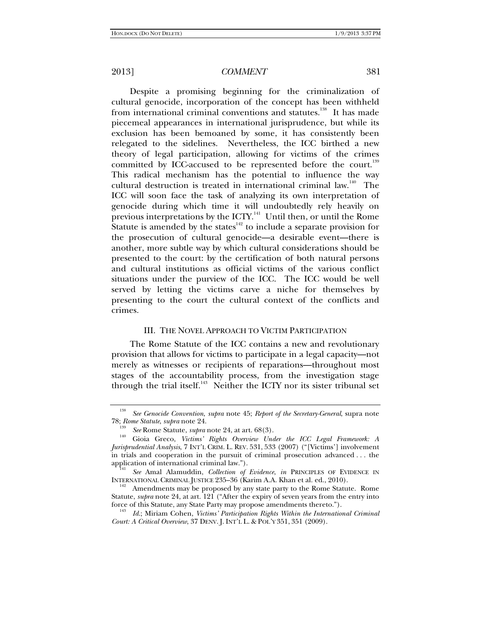Despite a promising beginning for the criminalization of cultural genocide, incorporation of the concept has been withheld from international criminal conventions and statutes.<sup>138</sup> It has made piecemeal appearances in international jurisprudence, but while its exclusion has been bemoaned by some, it has consistently been relegated to the sidelines. Nevertheless, the ICC birthed a new theory of legal participation, allowing for victims of the crimes committed by ICC-accused to be represented before the court.<sup>139</sup> This radical mechanism has the potential to influence the way cultural destruction is treated in international criminal law.<sup>140</sup> The ICC will soon face the task of analyzing its own interpretation of genocide during which time it will undoubtedly rely heavily on previous interpretations by the ICTY.<sup>141</sup> Until then, or until the Rome Statute is amended by the states<sup>142</sup> to include a separate provision for the prosecution of cultural genocide—a desirable event—there is another, more subtle way by which cultural considerations should be presented to the court: by the certification of both natural persons and cultural institutions as official victims of the various conflict situations under the purview of the ICC. The ICC would be well served by letting the victims carve a niche for themselves by presenting to the court the cultural context of the conflicts and crimes.

### III. THE NOVEL APPROACH TO VICTIM PARTICIPATION

The Rome Statute of the ICC contains a new and revolutionary provision that allows for victims to participate in a legal capacity—not merely as witnesses or recipients of reparations—throughout most stages of the accountability process, from the investigation stage through the trial itself.<sup>143</sup> Neither the ICTY nor its sister tribunal set

<sup>138</sup> *See Genocide Convention*, *supra* note 45; *Report of the Secretary-General*, supra note

<sup>78;</sup> *Rome Statute*, *supra* note 24. 139 *See* Rome Statute, *supra* note 24, at art. 68(3). 140 Gioia Greco, *Victims' Rights Overview Under the ICC Legal Framework: A Jurisprudential Analysis*, 7 INT'L CRIM. L. REV. 531, 533 (2007) ("[Victims'] involvement in trials and cooperation in the pursuit of criminal prosecution advanced . . . the

<sup>&</sup>lt;sup>141</sup> See Amal Alamuddin, *Collection of Evidence*, *in* PRINCIPLES OF EVIDENCE IN INTERNATIONAL CRIMINAL JUSTICE 235–36 (Karim A.A. Khan et al. ed., 2010).

<sup>&</sup>lt;sup>142</sup> Amendments may be proposed by any state party to the Rome Statute. Rome Statute, *supra* note 24, at art. 121 ("After the expiry of seven years from the entry into force of this Statute, any State Party may propose amendments thereto.").

force of this Statute, any State Party may propose amendments thereto."). 143 *Id*.; Miriam Cohen, *Victims' Participation Rights Within the International Criminal Court: A Critical Overview*, 37 DENV. J. INT'L L. & POL'Y 351, 351 (2009).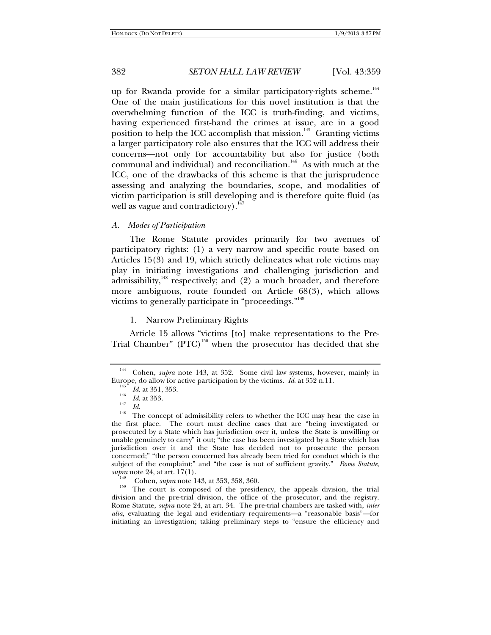up for Rwanda provide for a similar participatory-rights scheme.<sup>144</sup> One of the main justifications for this novel institution is that the overwhelming function of the ICC is truth-finding, and victims, having experienced first-hand the crimes at issue, are in a good position to help the ICC accomplish that mission.<sup>145</sup> Granting victims a larger participatory role also ensures that the ICC will address their concerns—not only for accountability but also for justice (both communal and individual) and reconciliation.<sup>146</sup> As with much at the ICC, one of the drawbacks of this scheme is that the jurisprudence assessing and analyzing the boundaries, scope, and modalities of victim participation is still developing and is therefore quite fluid (as well as vague and contradictory). $147$ 

# *A. Modes of Participation*

The Rome Statute provides primarily for two avenues of participatory rights: (1) a very narrow and specific route based on Articles 15(3) and 19, which strictly delineates what role victims may play in initiating investigations and challenging jurisdiction and admissibility, $148$  respectively; and (2) a much broader, and therefore more ambiguous, route founded on Article 68(3), which allows victims to generally participate in "proceedings."<sup>149</sup>

### 1. Narrow Preliminary Rights

Article 15 allows "victims [to] make representations to the Pre-Trial Chamber"  $(PTC)^{150}$  when the prosecutor has decided that she

<sup>144</sup> Cohen, *supra* note 143, at 352. Some civil law systems, however, mainly in Europe, do allow for active participation by the victims. *Id.* at 352 n.11.

<sup>&</sup>lt;sup>145</sup> *Id.* at 351, 353.<br><sup>146</sup> *Id.* at 353.<br><sup>147</sup> *Id.* 

<sup>&</sup>lt;sup>148</sup> The concept of admissibility refers to whether the ICC may hear the case in the first place. The court must decline cases that are "being investigated or prosecuted by a State which has jurisdiction over it, unless the State is unwilling or unable genuinely to carry" it out; "the case has been investigated by a State which has jurisdiction over it and the State has decided not to prosecute the person concerned;" "the person concerned has already been tried for conduct which is the subject of the complaint;" and "the case is not of sufficient gravity." *Rome Statute*,

*supra* note 24, at art. 17(1).<br><sup>149</sup> Cohen, *supra* note 143, at 353, 358, 360.<br><sup>150</sup> The court is composed of the presidency, the appeals division, the trial division and the pre-trial division, the office of the prosecutor, and the registry. Rome Statute, *supra* note 24, at art. 34. The pre-trial chambers are tasked with, *inter alia,* evaluating the legal and evidentiary requirements—a "reasonable basis"—for initiating an investigation; taking preliminary steps to "ensure the efficiency and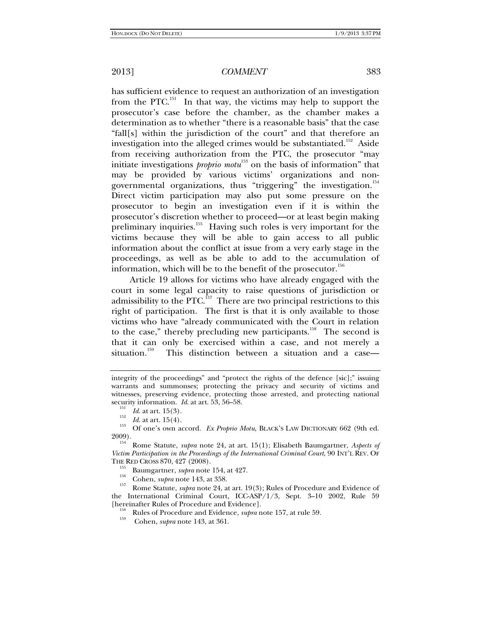has sufficient evidence to request an authorization of an investigation from the PTC.<sup>151</sup> In that way, the victims may help to support the prosecutor's case before the chamber, as the chamber makes a determination as to whether "there is a reasonable basis" that the case "fall[s] within the jurisdiction of the court" and that therefore an investigation into the alleged crimes would be substantiated.<sup>152</sup> Aside from receiving authorization from the PTC, the prosecutor "may initiate investigations *proprio motu*<sup>153</sup> on the basis of information" that may be provided by various victims' organizations and nongovernmental organizations, thus "triggering" the investigation.<sup>154</sup> Direct victim participation may also put some pressure on the prosecutor to begin an investigation even if it is within the prosecutor's discretion whether to proceed—or at least begin making preliminary inquiries.<sup>155</sup> Having such roles is very important for the victims because they will be able to gain access to all public information about the conflict at issue from a very early stage in the proceedings, as well as be able to add to the accumulation of information, which will be to the benefit of the prosecutor.<sup>156</sup>

Article 19 allows for victims who have already engaged with the court in some legal capacity to raise questions of jurisdiction or admissibility to the PTC.<sup>157</sup> There are two principal restrictions to this right of participation. The first is that it is only available to those victims who have "already communicated with the Court in relation to the case," thereby precluding new participants.<sup>158</sup> The second is that it can only be exercised within a case, and not merely a situation.<sup>159</sup> This distinction between a situation and a case— This distinction between a situation and a case—

*Isa Id.* at art. 15(4).<br><sup>153</sup> *Id.* at art. 15(4).<br>2009). Of one's own accord. *Ex Proprio Motu*, BLACK'S LAW DICTIONARY 662 (9th ed.

<sup>154</sup> Rome Statute, *supra* note 24, at art. 15(1); Elisabeth Baumgartner, *Aspects of Victim Participation in the Proceedings of the International Criminal Court*, 90 INT'L REV. OF THE RED CROSS 870, 427 (2008).

<sup>156</sup> Baumgartner, *supra* note 154, at 427.<br><sup>156</sup> Cohen, *supra* note 143, at 358.<br>1<sup>57</sup> Rome Statute, *supra* note 24, at art. 19(3); Rules of Procedure and Evidence of the International Criminal Court, ICC-ASP/1/3, Sept. 3–10 2002, Rule 59 [hereinafter Rules of Procedure and Evidence].

<sup>158</sup> Rules of Procedure and Evidence, *supra* note 157, at rule 59. Cohen, *supra* note 143, at 361.

integrity of the proceedings" and "protect the rights of the defence [sic];" issuing warrants and summonses; protecting the privacy and security of victims and witnesses, preserving evidence, protecting those arrested, and protecting national security information. *Id.* at art. 53, 56–58.<br><sup>151</sup> *Id.* at art. 15(3).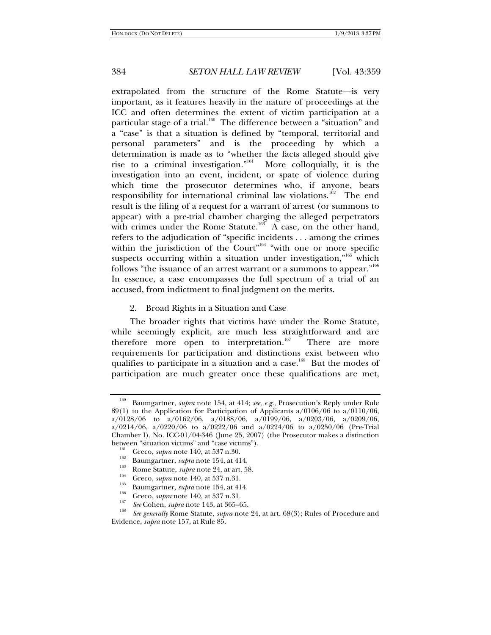extrapolated from the structure of the Rome Statute—is very important, as it features heavily in the nature of proceedings at the ICC and often determines the extent of victim participation at a particular stage of a trial.<sup>160</sup> The difference between a "situation" and a "case" is that a situation is defined by "temporal, territorial and personal parameters" and is the proceeding by which a determination is made as to "whether the facts alleged should give rise to a criminal investigation."<sup>61</sup> More colloquially, it is the investigation into an event, incident, or spate of violence during which time the prosecutor determines who, if anyone, bears responsibility for international criminal law violations.<sup>162</sup> The end result is the filing of a request for a warrant of arrest (or summons to appear) with a pre-trial chamber charging the alleged perpetrators with crimes under the Rome Statute.<sup>163</sup> A case, on the other hand, refers to the adjudication of "specific incidents . . . among the crimes within the jurisdiction of the Court"<sup>164</sup> "with one or more specific suspects occurring within a situation under investigation,"<sup>165</sup> which follows "the issuance of an arrest warrant or a summons to appear."<sup>166</sup> In essence, a case encompasses the full spectrum of a trial of an accused, from indictment to final judgment on the merits.

2. Broad Rights in a Situation and Case

The broader rights that victims have under the Rome Statute, while seemingly explicit, are much less straightforward and are therefore more open to interpretation.<sup>167</sup> There are more requirements for participation and distinctions exist between who qualifies to participate in a situation and a case.<sup>168</sup> But the modes of participation are much greater once these qualifications are met,

<sup>160</sup> Baumgartner, *supra* note 154, at 414; *see, e.g.*, Prosecution's Reply under Rule 89(1) to the Application for Participation of Applicants  $a/0106/06$  to  $a/0110/06$ ,  $a/0128/06$  to  $a/0162/06$ ,  $a/0188/06$ ,  $a/0199/06$ ,  $a/0203/06$ ,  $a/0209/06$ , a/0214/06, a/0220/06 to a/0222/06 and a/0224/06 to a/0250/06 (Pre-Trial Chamber I), No. ICC-01/04-346 (June 25, 2007) (the Prosecutor makes a distinction between "situation victims" and "case victims").<br>
<sup>161</sup> Greco, *supra* note 140, at 537 n.30.<br>
Baumgartner, *supra* note 154, at 414.<br>
Rome Statute, *supra* note 24, at art. 58.<br>
<sup>165</sup> Greco, *supra* note 140, at 537 n.31

<sup>&</sup>lt;sup>168</sup> *See generally* Rome Statute, *supra* note 24, at art. 68(3); Rules of Procedure and Evidence, *supra* note 157, at Rule 85.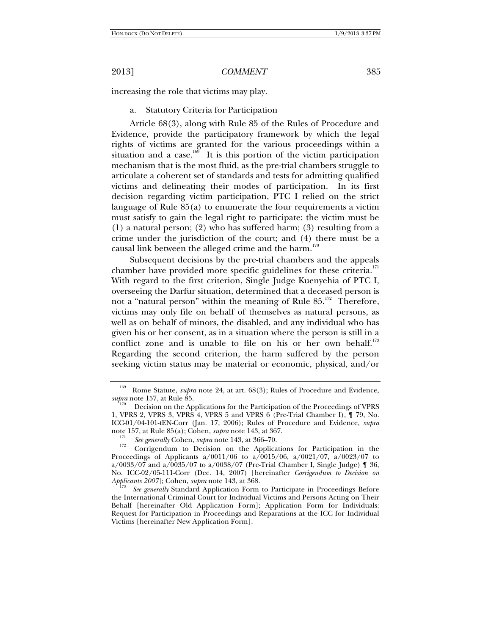increasing the role that victims may play.

a. Statutory Criteria for Participation

Article 68(3), along with Rule 85 of the Rules of Procedure and Evidence, provide the participatory framework by which the legal rights of victims are granted for the various proceedings within a situation and a case.<sup>169</sup> It is this portion of the victim participation mechanism that is the most fluid, as the pre-trial chambers struggle to articulate a coherent set of standards and tests for admitting qualified victims and delineating their modes of participation. In its first decision regarding victim participation, PTC I relied on the strict language of Rule 85(a) to enumerate the four requirements a victim must satisfy to gain the legal right to participate: the victim must be (1) a natural person; (2) who has suffered harm; (3) resulting from a crime under the jurisdiction of the court; and (4) there must be a causal link between the alleged crime and the harm.<sup>170</sup>

Subsequent decisions by the pre-trial chambers and the appeals chamber have provided more specific guidelines for these criteria.<sup>171</sup> With regard to the first criterion, Single Judge Kuenyehia of PTC I, overseeing the Darfur situation, determined that a deceased person is not a "natural person" within the meaning of Rule 85.<sup>172</sup> Therefore, victims may only file on behalf of themselves as natural persons, as well as on behalf of minors, the disabled, and any individual who has given his or her consent, as in a situation where the person is still in a conflict zone and is unable to file on his or her own behalf. $^{173}$ Regarding the second criterion, the harm suffered by the person seeking victim status may be material or economic, physical, and/or

<sup>&</sup>lt;sup>169</sup> Rome Statute, *supra* note 24, at art. 68(3); Rules of Procedure and Evidence, *supra* note 157, at Rule 85.

Decision on the Applications for the Participation of the Proceedings of VPRS 1, VPRS 2, VPRS 3, VPRS 4, VPRS 5 and VPRS 6 (Pre-Trial Chamber I), ¶ 79, No. ICC-01/04-101-tEN-Corr (Jan. 17, 2006); Rules of Procedure and Evidence, *supra*  note 157, at Rule 85(a); Cohen, *supra* note 143, at 367.<br><sup>171</sup> *See generally* Cohen, *supra* note 143, at 366–70.<br><sup>172</sup> Corrigendum to Decision on the Applications for Participation in the

Proceedings of Applicants  $a/0011/06$  to  $a/0015/06$ ,  $a/0021/07$ ,  $a/0023/07$  to a/0033/07 and a/0035/07 to a/0038/07 (Pre-Trial Chamber I, Single Judge)  $\llbracket$  36, No. ICC-02/05-111-Corr (Dec. 14, 2007) [hereinafter *Corrigendum to Decision on*  Applicants 2007]; Cohen, *supra* note 143, at 368.

*See generally* Standard Application Form to Participate in Proceedings Before the International Criminal Court for Individual Victims and Persons Acting on Their Behalf [hereinafter Old Application Form]; Application Form for Individuals: Request for Participation in Proceedings and Reparations at the ICC for Individual Victims [hereinafter New Application Form].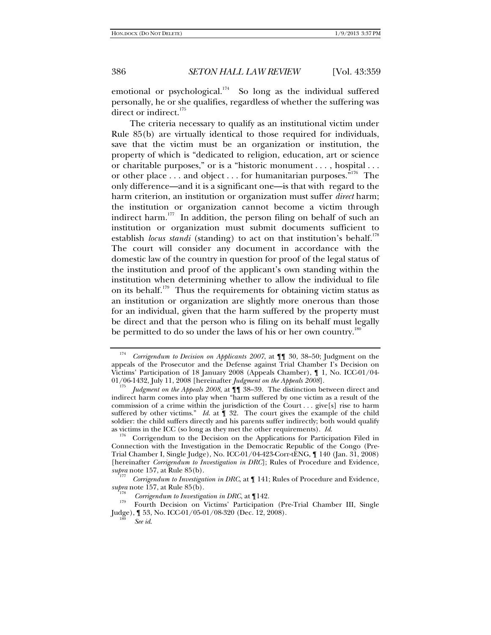emotional or psychological.<sup>174</sup> So long as the individual suffered personally, he or she qualifies, regardless of whether the suffering was direct or indirect.<sup>175</sup>

The criteria necessary to qualify as an institutional victim under Rule 85(b) are virtually identical to those required for individuals, save that the victim must be an organization or institution, the property of which is "dedicated to religion, education, art or science or charitable purposes," or is a "historic monument . . . , hospital . . . or other place . . . and object . . . for humanitarian purposes."<sup>176</sup> The only difference—and it is a significant one—is that with regard to the harm criterion, an institution or organization must suffer *direct* harm; the institution or organization cannot become a victim through indirect harm.<sup>177</sup> In addition, the person filing on behalf of such an institution or organization must submit documents sufficient to establish *locus standi* (standing) to act on that institution's behalf.<sup>178</sup> The court will consider any document in accordance with the domestic law of the country in question for proof of the legal status of the institution and proof of the applicant's own standing within the institution when determining whether to allow the individual to file on its behalf.<sup>179</sup> Thus the requirements for obtaining victim status as an institution or organization are slightly more onerous than those for an individual, given that the harm suffered by the property must be direct and that the person who is filing on its behalf must legally be permitted to do so under the laws of his or her own country.<sup>1</sup>

Corrigendum to the Decision on the Applications for Participation Filed in Connection with the Investigation in the Democratic Republic of the Congo (Pre-Trial Chamber I, Single Judge), No. ICC-01/04-423-Corr-tENG, ¶ 140 (Jan. 31, 2008) [hereinafter *Corrigendum to Investigation in DRC*]; Rules of Procedure and Evidence,

<sup>177</sup> *Corrigendum to Investigation in DRC*, at  $\P$  141; Rules of Procedure and Evidence, *supra* note 157, at Rule 85(b).

*See id*.

<sup>174</sup> *Corrigendum to Decision on Applicants 2007*, at ¶¶ 30, 38–50; Judgment on the appeals of the Prosecutor and the Defense against Trial Chamber I's Decision on Victims' Participation of 18 January 2008 (Appeals Chamber), ¶ 1, No. ICC-01/04- 01/06-1432, July 11, 2008 [hereinafter *Judgment on the Appeals 2008*]. 175

*Judgment on the Appeals 2008*, at  $\P$  **1** 38–39. The distinction between direct and indirect harm comes into play when "harm suffered by one victim as a result of the commission of a crime within the jurisdiction of the Court . . . give[s] rise to harm suffered by other victims." *Id.* at  $\P$  32. The court gives the example of the child soldier: the child suffers directly and his parents suffer indirectly; both would qualify as victims in the ICC (so long as they met the other requirements).  $Id$ .

*Corrigendum to Investigation in DRC*, at ¶142.<br>Fourth Decision on Victims' Participation (Pre-Trial Chamber III, Single Judge),  $\sim$  53, No. ICC-01/05-01/08-320 (Dec. 12, 2008).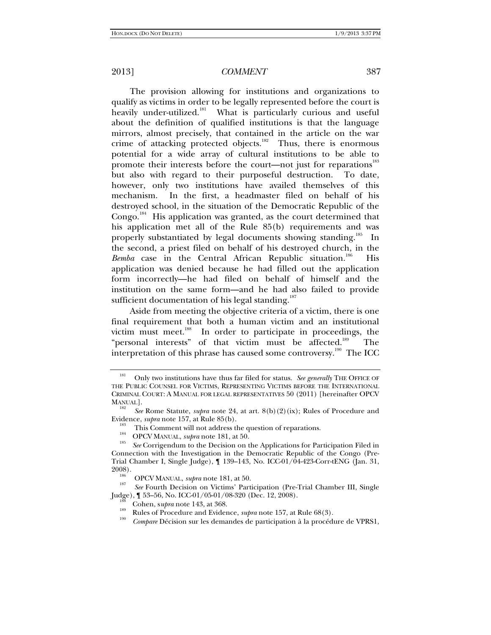The provision allowing for institutions and organizations to qualify as victims in order to be legally represented before the court is heavily under-utilized.<sup>181</sup> What is particularly curious and useful about the definition of qualified institutions is that the language mirrors, almost precisely, that contained in the article on the war crime of attacking protected objects.<sup>182</sup> Thus, there is enormous potential for a wide array of cultural institutions to be able to promote their interests before the court—not just for reparations<sup>183</sup> but also with regard to their purposeful destruction. To date, however, only two institutions have availed themselves of this mechanism. In the first, a headmaster filed on behalf of his destroyed school, in the situation of the Democratic Republic of the Congo.<sup>184</sup> His application was granted, as the court determined that his application met all of the Rule 85(b) requirements and was properly substantiated by legal documents showing standing.<sup>185</sup> In the second, a priest filed on behalf of his destroyed church, in the *Bemba* case in the Central African Republic situation.<sup>186</sup> His application was denied because he had filled out the application form incorrectly—he had filed on behalf of himself and the institution on the same form—and he had also failed to provide sufficient documentation of his legal standing.<sup>187</sup>

Aside from meeting the objective criteria of a victim, there is one final requirement that both a human victim and an institutional victim must meet.<sup>188</sup> In order to participate in proceedings, the "personal interests" of that victim must be affected.<sup>189</sup> The interpretation of this phrase has caused some controversy.<sup>190</sup> The ICC

<sup>188</sup> Cohen, supra note 143, at 368.<br><sup>189</sup> Rules of Procedure and Evidence, *supra* note 157, at Rule 68(3).

<sup>&</sup>lt;sup>181</sup> Only two institutions have thus far filed for status. *See generally* THE OFFICE OF THE PUBLIC COUNSEL FOR VICTIMS, REPRESENTING VICTIMS BEFORE THE INTERNATIONAL CRIMINAL COURT: A MANUAL FOR LEGAL REPRESENTATIVES 50 (2011) [hereinafter OPCV MANUAL].

*See* Rome Statute, *supra* note 24, at art. 8(b)(2)(ix); Rules of Procedure and Evidence, *supra* note 157, at Rule 85(b).<br>
<sup>183</sup> This Comment will not address the question of reparations.<br>
<sup>185</sup> OPCV MANUAL, *supra* note 181, at 50.<br> *See* Corrigendum to the Decision on the Applications for Particip

Connection with the Investigation in the Democratic Republic of the Congo (Pre-Trial Chamber I, Single Judge), ¶ 139–143, No. ICC-01/04-423-Corr-tENG (Jan. 31,

<sup>2008).&</sup>lt;br><sup>186</sup> OPCV MANUAL, *supra* note 181, at 50.

<sup>&</sup>lt;sup>187</sup> See Fourth Decision on Victims' Participation (Pre-Trial Chamber III, Single Judge), **1** 53–56, No. ICC-01/05-01/08-320 (Dec. 12, 2008).

*Compare* Décision sur les demandes de participation à la procédure de VPRS1,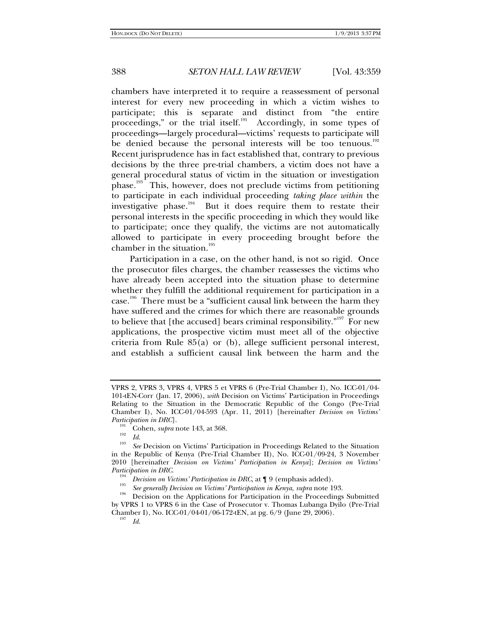chambers have interpreted it to require a reassessment of personal interest for every new proceeding in which a victim wishes to participate; this is separate and distinct from "the entire proceedings," or the trial itself.<sup>191</sup> Accordingly, in some types of proceedings—largely procedural—victims' requests to participate will be denied because the personal interests will be too tenuous.<sup>192</sup> Recent jurisprudence has in fact established that, contrary to previous decisions by the three pre-trial chambers, a victim does not have a general procedural status of victim in the situation or investigation phase.<sup>193</sup> This, however, does not preclude victims from petitioning to participate in each individual proceeding *taking place within* the investigative phase.<sup>194</sup> But it does require them to restate their personal interests in the specific proceeding in which they would like to participate; once they qualify, the victims are not automatically allowed to participate in every proceeding brought before the chamber in the situation. $195$ 

Participation in a case, on the other hand, is not so rigid. Once the prosecutor files charges, the chamber reassesses the victims who have already been accepted into the situation phase to determine whether they fulfill the additional requirement for participation in a case.<sup>196</sup> There must be a "sufficient causal link between the harm they have suffered and the crimes for which there are reasonable grounds to believe that [the accused] bears criminal responsibility. $197$  For new applications, the prospective victim must meet all of the objective criteria from Rule 85(a) or (b), allege sufficient personal interest, and establish a sufficient causal link between the harm and the

 $^{197}$  *Id.* 

VPRS 2, VPRS 3, VPRS 4, VPRS 5 et VPRS 6 (Pre-Trial Chamber I), No. ICC-01/04- 101-tEN-Corr (Jan. 17, 2006), *with* Decision on Victims' Participation in Proceedings Relating to the Situation in the Democratic Republic of the Congo (Pre-Trial Chamber I), No. ICC-01/04-593 (Apr. 11, 2011) [hereinafter *Decision on Victims'* 

<sup>&</sup>lt;sup>Part</sup>icipation in Dr. 31 Cohen, *supra* note 143, at 368. 192 *Id.* 193 *Id.* 193 *Id.* 193 **ID**. 193 **ID.** 193 **ID.** 193 **ID.** 193 **ID.** 193 **ID.** 193 **ID.** 193 **ID.** 193 **ID.** 193 **ID.** 193 **ID.** 193 **ID.** 193 **ID.** 193

*See* Decision on Victims' Participation in Proceedings Related to the Situation in the Republic of Kenya (Pre-Trial Chamber II), No. ICC-01/09-24, 3 November 2010 [hereinafter *Decision on Victims' Participation in Kenya*]; *Decision on Victims'* 

<sup>&</sup>lt;sup>194</sup> *Decision on Victims' Participation in DRC*, at  $\P$  9 (emphasis added).<br><sup>195</sup> *See generally Decision on Victims' Participation in Kenya, supra* note 193.

<sup>&</sup>lt;sup>196</sup> Decision on the Applications for Participation in the Proceedings Submitted by VPRS 1 to VPRS 6 in the Case of Prosecutor v. Thomas Lubanga Dyilo (Pre-Trial Chamber I), No. ICC-01/04-01/06-172-tEN, at pg. 6/9 (June 29, 2006).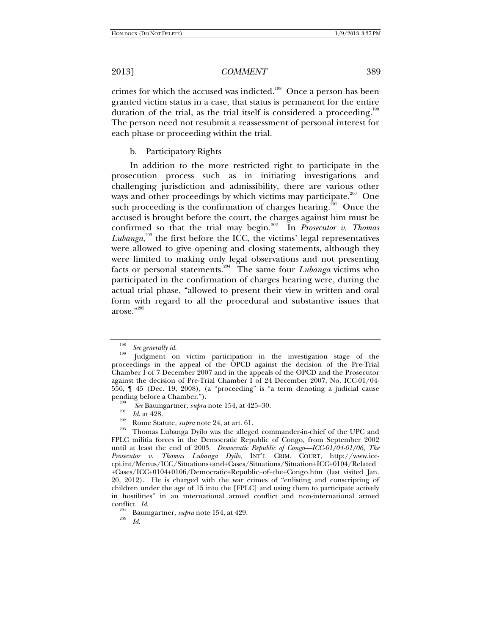crimes for which the accused was indicted.<sup>198</sup> Once a person has been granted victim status in a case, that status is permanent for the entire duration of the trial, as the trial itself is considered a proceeding.<sup>199</sup> The person need not resubmit a reassessment of personal interest for each phase or proceeding within the trial.

### b. Participatory Rights

In addition to the more restricted right to participate in the prosecution process such as in initiating investigations and challenging jurisdiction and admissibility, there are various other ways and other proceedings by which victims may participate.<sup>200</sup> One such proceeding is the confirmation of charges hearing.<sup>201</sup> Once the accused is brought before the court, the charges against him must be confirmed so that the trial may begin.<sup>202</sup> In *Prosecutor v. Thomas Lubanga*, 203 the first before the ICC, the victims' legal representatives were allowed to give opening and closing statements, although they were limited to making only legal observations and not presenting facts or personal statements.204 The same four *Lubanga* victims who participated in the confirmation of charges hearing were, during the actual trial phase, "allowed to present their view in written and oral form with regard to all the procedural and substantive issues that arose."<sup>205</sup>

<sup>198</sup>*See generally id*. 199 Judgment on victim participation in the investigation stage of the proceedings in the appeal of the OPCD against the decision of the Pre-Trial Chamber I of 7 December 2007 and in the appeals of the OPCD and the Prosecutor against the decision of Pre-Trial Chamber I of 24 December 2007, No. ICC-01/04- 556, ¶ 45 (Dec. 19, 2008), (a "proceeding" is "a term denoting a judicial cause

<sup>&</sup>lt;sup>200</sup> *See* Baumgartner, *supra* note 154, at 425–30. *Id.* at 428.

<sup>&</sup>lt;sup>202</sup> Rome Statute, *supra* note 24, at art. 61.<br><sup>203</sup> Thomas Lubanga Dyilo was the alleged commander-in-chief of the UPC and FPLC militia forces in the Democratic Republic of Congo, from September 2002 until at least the end of 2003. *Democratic Republic of Congo—ICC-01/04-01/06, The Prosecutor v. Thomas Lubanga Dyilo*, INT'L CRIM. COURT, http://www.icccpi.int/Menus/ICC/Situations+and+Cases/Situations/Situation+ICC+0104/Related +Cases/ICC+0104+0106/Democratic+Republic+of+the+Congo.htm (last visited Jan. 20, 2012). He is charged with the war crimes of "enlisting and conscripting of children under the age of 15 into the [FPLC] and using them to participate actively in hostilities" in an international armed conflict and non-international armed conflict.  $Id$ .

<sup>&</sup>lt;sup>204</sup> Baumgartner, *supra* note 154, at 429.

*Id*.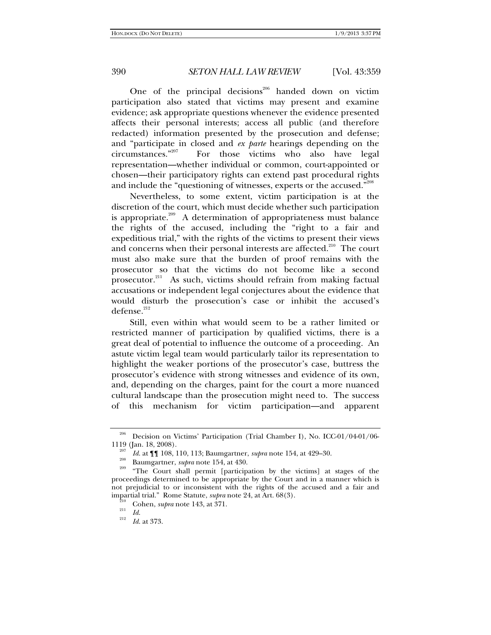One of the principal decisions<sup>206</sup> handed down on victim participation also stated that victims may present and examine evidence; ask appropriate questions whenever the evidence presented affects their personal interests; access all public (and therefore redacted) information presented by the prosecution and defense; and "participate in closed and *ex parte* hearings depending on the circumstances."<sup>207</sup> For those victims who also have legal For those victims who also have legal representation—whether individual or common, court-appointed or chosen—their participatory rights can extend past procedural rights and include the "questioning of witnesses, experts or the accused."

Nevertheless, to some extent, victim participation is at the discretion of the court, which must decide whether such participation is appropriate.<sup>209</sup> A determination of appropriateness must balance the rights of the accused, including the "right to a fair and expeditious trial," with the rights of the victims to present their views and concerns when their personal interests are affected.<sup>210</sup> The court must also make sure that the burden of proof remains with the prosecutor so that the victims do not become like a second prosecutor.<sup>211</sup> As such, victims should refrain from making factual accusations or independent legal conjectures about the evidence that would disturb the prosecution's case or inhibit the accused's  $defense.<sup>212</sup>$ 

Still, even within what would seem to be a rather limited or restricted manner of participation by qualified victims, there is a great deal of potential to influence the outcome of a proceeding. An astute victim legal team would particularly tailor its representation to highlight the weaker portions of the prosecutor's case, buttress the prosecutor's evidence with strong witnesses and evidence of its own, and, depending on the charges, paint for the court a more nuanced cultural landscape than the prosecution might need to. The success of this mechanism for victim participation—and apparent

<sup>206</sup> Decision on Victims' Participation (Trial Chamber I), No. ICC-01/04-01/06- 1119 (Jan. 18, 2008).<br> $\frac{1119}{207}$  *Id.* at **[[**] 108, 110, 113; Baumgartner, *supra* note 154, at 429–30.

<sup>&</sup>lt;sup>208</sup> Baumgartner, *supra* note 154, at 430. <sup>209</sup> The Court shall permit [participation by the victims] at stages of the proceedings determined to be appropriate by the Court and in a manner which is not prejudicial to or inconsistent with the rights of the accused and a fair and impartial trial." Rome Statute, *supra* note 24, at Art. 68(3).<br><sup>210</sup> Cohen, *supra* note 143, at 371.<br><sup>212</sup> *Id.* 212

*Id*. at 373.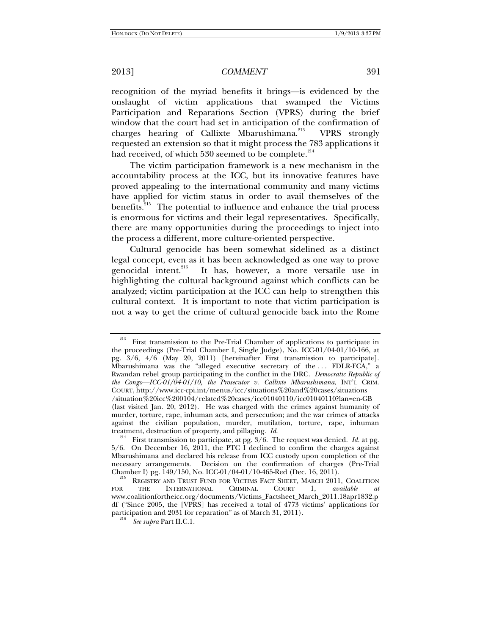recognition of the myriad benefits it brings—is evidenced by the onslaught of victim applications that swamped the Victims Participation and Reparations Section (VPRS) during the brief window that the court had set in anticipation of the confirmation of charges hearing of Callixte Mbarushimana.<sup>213</sup> VPRS strongly requested an extension so that it might process the 783 applications it had received, of which 530 seemed to be complete.<sup>214</sup>

The victim participation framework is a new mechanism in the accountability process at the ICC, but its innovative features have proved appealing to the international community and many victims have applied for victim status in order to avail themselves of the benefits.<sup>215</sup> The potential to influence and enhance the trial process is enormous for victims and their legal representatives. Specifically, there are many opportunities during the proceedings to inject into the process a different, more culture-oriented perspective.

Cultural genocide has been somewhat sidelined as a distinct legal concept, even as it has been acknowledged as one way to prove genocidal intent.<sup>216</sup> It has, however, a more versatile use in highlighting the cultural background against which conflicts can be analyzed; victim participation at the ICC can help to strengthen this cultural context. It is important to note that victim participation is not a way to get the crime of cultural genocide back into the Rome

<sup>&</sup>lt;sup>213</sup> First transmission to the Pre-Trial Chamber of applications to participate in the proceedings (Pre-Trial Chamber I, Single Judge), No. ICC-01/04-01/10-166, at pg. 3/6, 4/6 (May 20, 2011) [hereinafter First transmission to participate]. Mbarushimana was the "alleged executive secretary of the ... FDLR-FCA," a Rwandan rebel group participating in the conflict in the DRC. *Democratic Republic of the Congo—ICC-01/04-01/10, the Prosecutor v. Callixte Mbarushimana*, INT'L CRIM. COURT, http://www.icc-cpi.int/menus/icc/situations%20and%20cases/situations /situation%20icc%200104/related%20cases/icc01040110/icc01040110?lan=en-GB

<sup>(</sup>last visited Jan. 20, 2012). He was charged with the crimes against humanity of murder, torture, rape, inhuman acts, and persecution; and the war crimes of attacks against the civilian population, murder, mutilation, torture, rape, inhuman treatment, destruction of property, and pillaging. *Id*.<br><sup>214</sup> First transmission to participate, at pg. 3/6. The request was denied. *Id.* at pg.

<sup>5/6.</sup> On December 16, 2011, the PTC I declined to confirm the charges against Mbarushimana and declared his release from ICC custody upon completion of the necessary arrangements. Decision on the confirmation of charges (Pre-Trial Chamber I) pg. 149/150, No. ICC-01/04-01/10-465-Red (Dec. 16, 2011).

**CHAMBER IN PREGISTRY AND TRUST FUND FOR VICTIMS FACT SHEET, MARCH 2011, COALITION** THE INTERNATIONAL CRIMINAL COURT 1, *available at* FOR THE INTERNATIONAL CRIMINAL COURT 1, *available at* www.coalitionfortheicc.org/documents/Victims\_Factsheet\_March\_2011.18apr1832.p df ("Since 2005, the [VPRS] has received a total of 4773 victims' applications for participation and 2031 for reparation" as of March 31, 2011).

*See supra* Part II.C.1.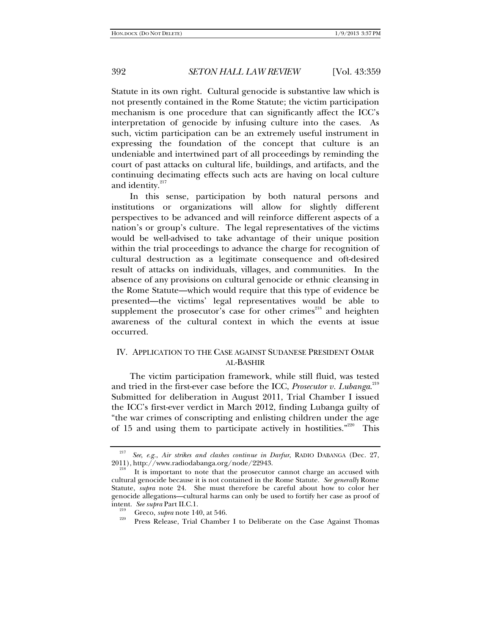Statute in its own right. Cultural genocide is substantive law which is not presently contained in the Rome Statute; the victim participation mechanism is one procedure that can significantly affect the ICC's interpretation of genocide by infusing culture into the cases. As such, victim participation can be an extremely useful instrument in expressing the foundation of the concept that culture is an undeniable and intertwined part of all proceedings by reminding the court of past attacks on cultural life, buildings, and artifacts, and the continuing decimating effects such acts are having on local culture and identity.<sup>217</sup>

In this sense, participation by both natural persons and institutions or organizations will allow for slightly different perspectives to be advanced and will reinforce different aspects of a nation's or group's culture. The legal representatives of the victims would be well-advised to take advantage of their unique position within the trial proceedings to advance the charge for recognition of cultural destruction as a legitimate consequence and oft-desired result of attacks on individuals, villages, and communities. In the absence of any provisions on cultural genocide or ethnic cleansing in the Rome Statute—which would require that this type of evidence be presented—the victims' legal representatives would be able to supplement the prosecutor's case for other crimes<sup>218</sup> and heighten awareness of the cultural context in which the events at issue occurred.

# IV. APPLICATION TO THE CASE AGAINST SUDANESE PRESIDENT OMAR AL-BASHIR

The victim participation framework, while still fluid, was tested and tried in the first-ever case before the ICC, *Prosecutor v. Lubanga*. 219 Submitted for deliberation in August 2011, Trial Chamber I issued the ICC's first-ever verdict in March 2012, finding Lubanga guilty of "the war crimes of conscripting and enlisting children under the age of 15 and using them to participate actively in hostilities."<sup>220</sup> This

<sup>&</sup>lt;sup>217</sup> *See, e.g., Air strikes and clashes continue in Darfur*, RADIO DABANGA (Dec. 27, 2011), http://www.radiodabanga.org/node/22943.

It is important to note that the prosecutor cannot charge an accused with cultural genocide because it is not contained in the Rome Statute. *See generally* Rome Statute, *supra* note 24. She must therefore be careful about how to color her genocide allegations—cultural harms can only be used to fortify her case as proof of intent. See supra Part II.C.1.

<sup>&</sup>lt;sup>219</sup> Greco, *supra* note 140, at 546.<br><sup>220</sup> Press Release, Trial Chamber I to Deliberate on the Case Against Thomas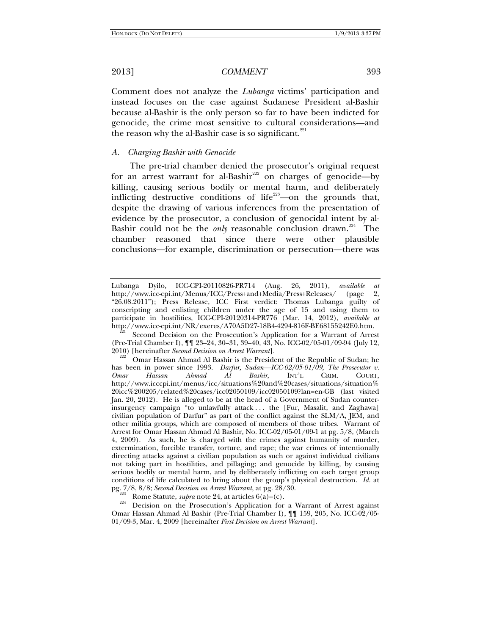Comment does not analyze the *Lubanga* victims' participation and instead focuses on the case against Sudanese President al-Bashir because al-Bashir is the only person so far to have been indicted for genocide, the crime most sensitive to cultural considerations—and the reason why the al-Bashir case is so significant. $221$ 

### *A. Charging Bashir with Genocide*

The pre-trial chamber denied the prosecutor's original request for an arrest warrant for al-Bashir<sup>222</sup> on charges of genocide—by killing, causing serious bodily or mental harm, and deliberately inflicting destructive conditions of life<sup>223</sup>—on the grounds that, despite the drawing of various inferences from the presentation of evidence by the prosecutor, a conclusion of genocidal intent by al-Bashir could not be the *only* reasonable conclusion drawn.<sup>224</sup> The chamber reasoned that since there were other plausible conclusions—for example, discrimination or persecution—there was

Lubanga Dyilo, ICC-CPI-20110826-PR714 (Aug. 26, 2011), *available at* http://www.icc-cpi.int/Menus/ICC/Press+and+Media/Press+Releases/ (page 2, "26.08.2011"); Press Release, ICC First verdict: Thomas Lubanga guilty of conscripting and enlisting children under the age of 15 and using them to participate in hostilities, ICC-CPI-20120314-PR776 (Mar. 14, 2012), *available at* http://www.icc-cpi.int/NR/exeres/A70A5D27-18B4-4294-816F-BE68155242E0.htm.

Second Decision on the Prosecution's Application for a Warrant of Arrest (Pre-Trial Chamber I), ¶¶ 23–24, 30–31, 39–40, 43, No. ICC-02/05-01/09-94 (July 12, 2010) [hereinafter *Second Decision on Arrest Warrant*]. 222 Omar Hassan Ahmad Al Bashir is the President of the Republic of Sudan; he

has been in power since 1993. *Darfur, Sudan—ICC-02/05-01/09, The Prosecutor v. Omar Hassan Ahmad Al Bashir*, INT'L CRIM. COURT, http://www.icccpi.int/menus/icc/situations%20and%20cases/situations/situation% 20icc%200205/related%20cases/icc02050109/icc02050109?lan=en-GB (last visited Jan. 20, 2012). He is alleged to be at the head of a Government of Sudan counterinsurgency campaign "to unlawfully attack . . . the [Fur, Masalit, and Zaghawa] civilian population of Darfur" as part of the conflict against the SLM/A, JEM, and other militia groups, which are composed of members of those tribes. Warrant of Arrest for Omar Hassan Ahmad Al Bashir, No. ICC-02/05-01/09-1 at pg. 5/8, (March 4, 2009). As such, he is charged with the crimes against humanity of murder, extermination, forcible transfer, torture, and rape; the war crimes of intentionally directing attacks against a civilian population as such or against individual civilians not taking part in hostilities, and pillaging; and genocide by killing, by causing serious bodily or mental harm, and by deliberately inflicting on each target group conditions of life calculated to bring about the group's physical destruction. *Id.* at pg. 7/8, 8/8; *Second Decision on Arrest Warrant*, at pg. 28/30.

<sup>&</sup>lt;sup>223</sup> Rome Statute, *supra* note 24, at articles 6(a)–(c).<br><sup>224</sup> Decision on the Prosecution's Application for a Warrant of Arrest against Omar Hassan Ahmad Al Bashir (Pre-Trial Chamber I), ¶¶ 159, 205, No. ICC-02/05- 01/09-3, Mar. 4, 2009 [hereinafter *First Decision on Arrest Warrant*].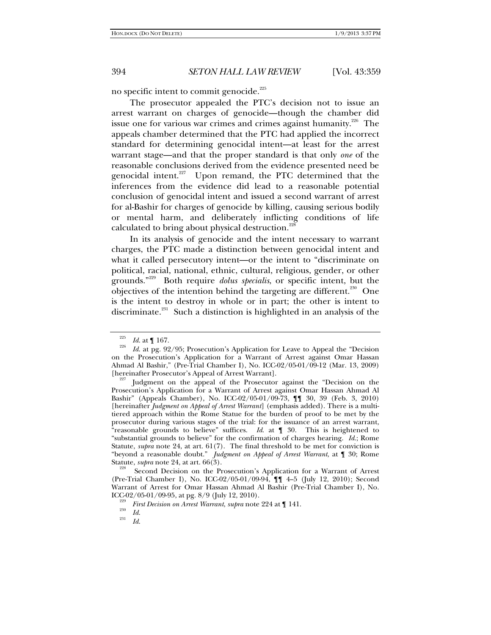no specific intent to commit genocide.<sup>225</sup>

The prosecutor appealed the PTC's decision not to issue an arrest warrant on charges of genocide—though the chamber did issue one for various war crimes and crimes against humanity.<sup>226</sup> The appeals chamber determined that the PTC had applied the incorrect standard for determining genocidal intent—at least for the arrest warrant stage—and that the proper standard is that only *one* of the reasonable conclusions derived from the evidence presented need be genocidal intent. $227$  Upon remand, the PTC determined that the inferences from the evidence did lead to a reasonable potential conclusion of genocidal intent and issued a second warrant of arrest for al-Bashir for charges of genocide by killing, causing serious bodily or mental harm, and deliberately inflicting conditions of life calculated to bring about physical destruction.<sup>228</sup>

In its analysis of genocide and the intent necessary to warrant charges, the PTC made a distinction between genocidal intent and what it called persecutory intent—or the intent to "discriminate on political, racial, national, ethnic, cultural, religious, gender, or other grounds."229 Both require *dolus specialis*, or specific intent, but the objectives of the intention behind the targeting are different.<sup>230</sup> One is the intent to destroy in whole or in part; the other is intent to discriminate.<sup>231</sup> Such a distinction is highlighted in an analysis of the

 $\frac{225}{226}$  *Id.* at 1 167.

*Id*. at pg. 92/95; Prosecution's Application for Leave to Appeal the "Decision on the Prosecution's Application for a Warrant of Arrest against Omar Hassan Ahmad Al Bashir," (Pre-Trial Chamber I), No. ICC-02/05-01/09-12 (Mar. 13, 2009) [hereinafter Prosecutor's Appeal of Arrest Warrant]. 227 Judgment on the appeal of the Prosecutor against the "Decision on the

Prosecution's Application for a Warrant of Arrest against Omar Hassan Ahmad Al Bashir" (Appeals Chamber), No. ICC-02/05-01/09-73, ¶¶ 30, 39 (Feb. 3, 2010) [hereinafter *Judgment on Appeal of Arrest Warrant*] (emphasis added). There is a multitiered approach within the Rome Statue for the burden of proof to be met by the prosecutor during various stages of the trial: for the issuance of an arrest warrant, "reasonable grounds to believe" suffices. *Id*. at ¶ 30. This is heightened to "substantial grounds to believe" for the confirmation of charges hearing. *Id*.; Rome Statute, *supra* note 24, at art. 61(7). The final threshold to be met for conviction is "beyond a reasonable doubt." *Judgment on Appeal of Arrest Warrant*, at ¶ 30; Rome Statute, *supra* note 24, at art. 66(3).<br><sup>228</sup> Second Decision on the Prosecution's Application for a Warrant of Arrest

<sup>(</sup>Pre-Trial Chamber I), No. ICC-02/05-01/09-94, ¶¶ 4–5 (July 12, 2010); Second Warrant of Arrest for Omar Hassan Ahmad Al Bashir (Pre-Trial Chamber I), No. ICC-02/05-01/09-95, at pg.  $8/9$  (July 12, 2010).

*First Decision on Arrest Warrant*, *supra* note 224 at  $\P$  141.<br><sup>230</sup> *Id.* 231

*Id*.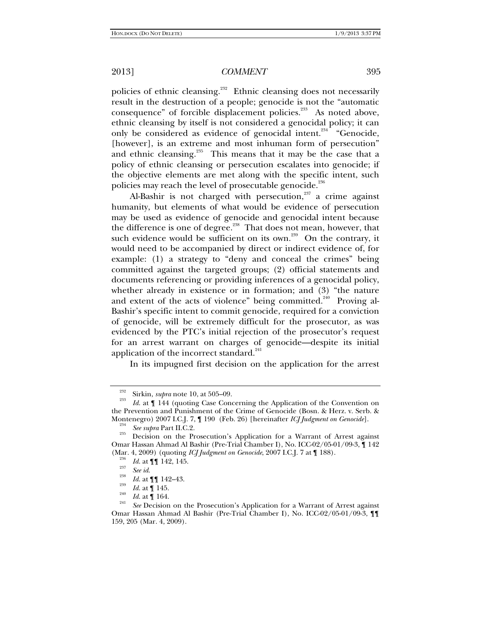policies of ethnic cleansing.<sup>232</sup> Ethnic cleansing does not necessarily result in the destruction of a people; genocide is not the "automatic consequence" of forcible displacement policies.<sup>233</sup> As noted above, ethnic cleansing by itself is not considered a genocidal policy; it can only be considered as evidence of genocidal intent.<sup>234</sup> "Genocide, [however], is an extreme and most inhuman form of persecution" and ethnic cleansing. $235$  This means that it may be the case that a policy of ethnic cleansing or persecution escalates into genocide; if the objective elements are met along with the specific intent, such policies may reach the level of prosecutable genocide.<sup>236</sup>

Al-Bashir is not charged with persecution,<sup>237</sup> a crime against humanity, but elements of what would be evidence of persecution may be used as evidence of genocide and genocidal intent because the difference is one of degree.<sup>238</sup> That does not mean, however, that such evidence would be sufficient on its own.<sup>239</sup> On the contrary, it would need to be accompanied by direct or indirect evidence of, for example: (1) a strategy to "deny and conceal the crimes" being committed against the targeted groups; (2) official statements and documents referencing or providing inferences of a genocidal policy, whether already in existence or in formation; and (3) "the nature and extent of the acts of violence" being committed.<sup>240</sup> Proving al-Bashir's specific intent to commit genocide, required for a conviction of genocide, will be extremely difficult for the prosecutor, as was evidenced by the PTC's initial rejection of the prosecutor's request for an arrest warrant on charges of genocide—despite its initial application of the incorrect standard.<sup>241</sup>

In its impugned first decision on the application for the arrest

<sup>&</sup>lt;sup>232</sup> Sirkin, *supra* note 10, at 505–09.<br><sup>233</sup> *Id.* at ¶ 144 (quoting Case Concerning the Application of the Convention on the Prevention and Punishment of the Crime of Genocide (Bosn. & Herz. v. Serb. & Montenegro) 2007 I.C.J. 7, ¶ 190 (Feb. 26) [hereinafter *ICJ Judgment on Genocide*].<br><sup>234</sup> *See supra* Part II.C.2. Decision on the Prosecution's Application for a Warrant of Arrest against

Omar Hassan Ahmad Al Bashir (Pre-Trial Chamber I), No. ICC-02/05-01/09-3, ¶ 142 (Mar. 4, 2009) (quoting *ICJ Judgment on Genocide*, 2007 I.C.J. 7 at ¶ 188). 236 *Id*. at ¶¶ 142, 145. 237

<sup>&</sup>lt;sup>238</sup> *Id.* at **¶ [** 142–43.

<sup>&</sup>lt;sup>239</sup> *Id.* at **[** 145. *Id.* at **[** 164.

 $I_{\text{241}}$  *See* Decision on the Prosecution's Application for a Warrant of Arrest against Omar Hassan Ahmad Al Bashir (Pre-Trial Chamber I), No. ICC-02/05-01/09-3, ¶¶ 159, 205 (Mar. 4, 2009).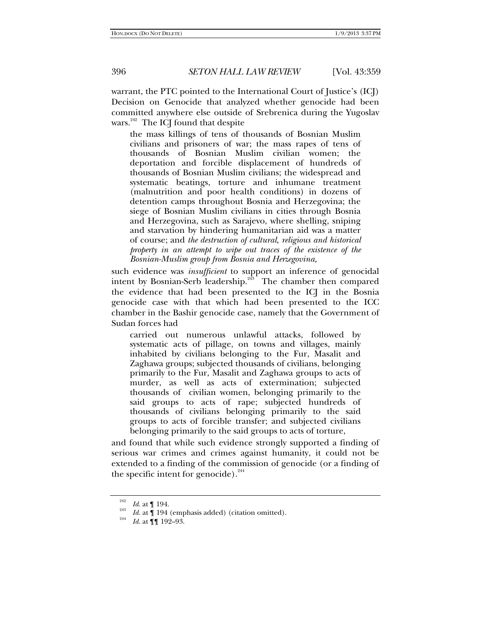warrant, the PTC pointed to the International Court of Justice's (ICJ) Decision on Genocide that analyzed whether genocide had been committed anywhere else outside of Srebrenica during the Yugoslav wars.<sup>242</sup> The ICJ found that despite

the mass killings of tens of thousands of Bosnian Muslim civilians and prisoners of war; the mass rapes of tens of thousands of Bosnian Muslim civilian women; the deportation and forcible displacement of hundreds of thousands of Bosnian Muslim civilians; the widespread and systematic beatings, torture and inhumane treatment (malnutrition and poor health conditions) in dozens of detention camps throughout Bosnia and Herzegovina; the siege of Bosnian Muslim civilians in cities through Bosnia and Herzegovina, such as Sarajevo, where shelling, sniping and starvation by hindering humanitarian aid was a matter of course; and *the destruction of cultural, religious and historical property in an attempt to wipe out traces of the existence of the Bosnian-Muslim group from Bosnia and Herzegovina,* 

such evidence was *insufficient* to support an inference of genocidal intent by Bosnian-Serb leadership.<sup>243</sup> The chamber then compared the evidence that had been presented to the ICJ in the Bosnia genocide case with that which had been presented to the ICC chamber in the Bashir genocide case, namely that the Government of Sudan forces had

carried out numerous unlawful attacks, followed by systematic acts of pillage, on towns and villages, mainly inhabited by civilians belonging to the Fur, Masalit and Zaghawa groups; subjected thousands of civilians, belonging primarily to the Fur, Masalit and Zaghawa groups to acts of murder, as well as acts of extermination; subjected thousands of civilian women, belonging primarily to the said groups to acts of rape; subjected hundreds of thousands of civilians belonging primarily to the said groups to acts of forcible transfer; and subjected civilians belonging primarily to the said groups to acts of torture,

and found that while such evidence strongly supported a finding of serious war crimes and crimes against humanity, it could not be extended to a finding of the commission of genocide (or a finding of the specific intent for genocide). $^{244}$ 

<sup>242</sup> 

<sup>&</sup>lt;sup>242</sup> *Id.* at ¶ 194.<br><sup>243</sup> *Id.* at ¶ 194 (emphasis added) (citation omitted).

*Id*. at ¶¶ 192–93.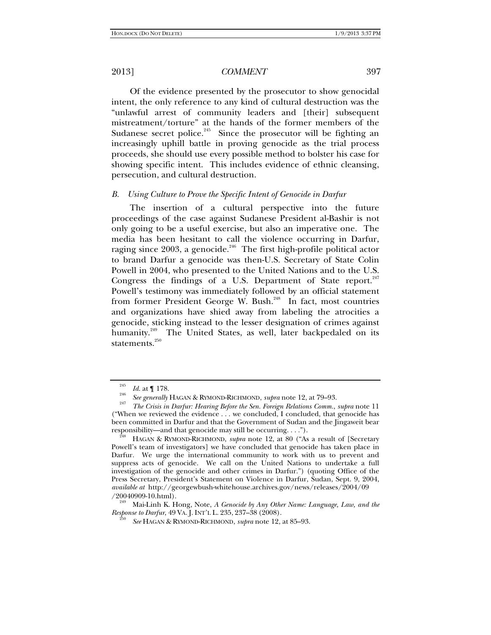Of the evidence presented by the prosecutor to show genocidal intent, the only reference to any kind of cultural destruction was the "unlawful arrest of community leaders and [their] subsequent mistreatment/torture" at the hands of the former members of the Sudanese secret police.<sup>245</sup> Since the prosecutor will be fighting an increasingly uphill battle in proving genocide as the trial process proceeds, she should use every possible method to bolster his case for showing specific intent. This includes evidence of ethnic cleansing, persecution, and cultural destruction.

### *B. Using Culture to Prove the Specific Intent of Genocide in Darfur*

The insertion of a cultural perspective into the future proceedings of the case against Sudanese President al-Bashir is not only going to be a useful exercise, but also an imperative one. The media has been hesitant to call the violence occurring in Darfur, raging since 2003, a genocide.<sup>246</sup> The first high-profile political actor to brand Darfur a genocide was then-U.S. Secretary of State Colin Powell in 2004, who presented to the United Nations and to the U.S. Congress the findings of a U.S. Department of State report.<sup>247</sup> Powell's testimony was immediately followed by an official statement from former President George W. Bush.<sup>248</sup> In fact, most countries and organizations have shied away from labeling the atrocities a genocide, sticking instead to the lesser designation of crimes against humanity.<sup>249</sup> The United States, as well, later backpedaled on its statements.<sup>250</sup>

*Response to Darfur*, 49 VA. J. INT'L L. 235, 237-38 (2008).

<sup>&</sup>lt;sup>245</sup> *Id.* at  $\int_{0}^{245}$  *Id.* at  $\int_{0}^{17}$  *II.* 

<sup>&</sup>lt;sup>240</sup> *See generally* HAGAN & RYMOND-RICHMOND, *supra* note 12, at 79–93.

*The Crisis in Darfur: Hearing Before the Sen. Foreign Relations Comm.*, *supra* note 11 ("When we reviewed the evidence . . . we concluded, I concluded, that genocide has been committed in Darfur and that the Government of Sudan and the Jingaweit bear responsibility—and that genocide may still be occurring. . . ."). 248 HAGAN & RYMOND-RICHMOND, *supra* note 12, at 80 ("As a result of [Secretary

Powell's team of investigators] we have concluded that genocide has taken place in Darfur. We urge the international community to work with us to prevent and suppress acts of genocide. We call on the United Nations to undertake a full investigation of the genocide and other crimes in Darfur.") (quoting Office of the Press Secretary, President's Statement on Violence in Darfur, Sudan, Sept. 9, 2004, *available at* http://georgewbush-whitehouse.archives.gov/news/releases/2004/09 /20040909-10.html). 249 Mai-Linh K. Hong, Note, *A Genocide by Any Other Name: Language, Law, and the* 

*See* HAGAN & RYMOND-RICHMOND, *supra* note 12, at 85–93.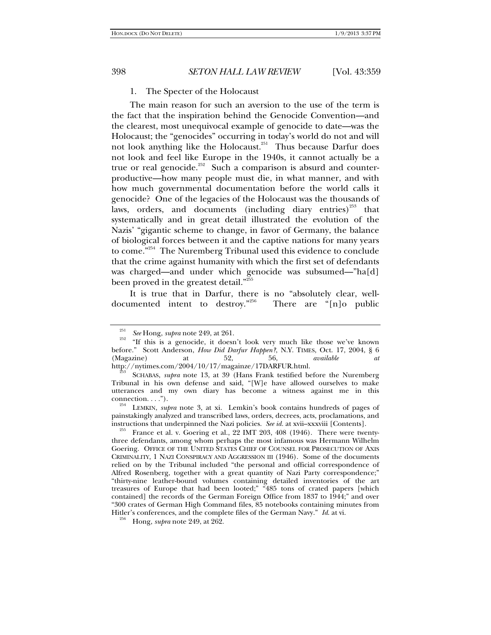# 1. The Specter of the Holocaust

The main reason for such an aversion to the use of the term is the fact that the inspiration behind the Genocide Convention—and the clearest, most unequivocal example of genocide to date—was the Holocaust; the "genocides" occurring in today's world do not and will not look anything like the Holocaust.<sup>251</sup> Thus because Darfur does not look and feel like Europe in the 1940s, it cannot actually be a true or real genocide.<sup>252</sup> Such a comparison is absurd and counterproductive—how many people must die, in what manner, and with how much governmental documentation before the world calls it genocide? One of the legacies of the Holocaust was the thousands of laws, orders, and documents (including diary entries)<sup>253</sup> that systematically and in great detail illustrated the evolution of the Nazis' "gigantic scheme to change, in favor of Germany, the balance of biological forces between it and the captive nations for many years to come.<sup>"254</sup> The Nuremberg Tribunal used this evidence to conclude that the crime against humanity with which the first set of defendants was charged—and under which genocide was subsumed—"ha[d] been proved in the greatest detail."<sup>255</sup>

It is true that in Darfur, there is no "absolutely clear, welldocumented intent to destroy."256 There are "[n]o public

<sup>251</sup>

<sup>&</sup>lt;sup>251</sup> *See* Hong, *supra* note 249, at 261.<br><sup>252</sup> "If this is a genocide, it doesn't look very much like those we've known before." Scott Anderson, *How Did Darfur Happen?*, N.Y. TIMES, Oct. 17, 2004, § 6 (Magazine) at 52, 56, *available at* (Magazine) at 52, 56, *available at*

http://nytimes.com/2004/10/17/magainze/17DARFUR.html. 253 SCHABAS, *supra* note 13, at 39 (Hans Frank testified before the Nuremberg Tribunal in his own defense and said, "[W]e have allowed ourselves to make utterances and my own diary has become a witness against me in this

connection. . . ."). 254 LEMKIN, *supra* note 3, at xi. Lemkin's book contains hundreds of pages of painstakingly analyzed and transcribed laws, orders, decrees, acts, proclamations, and instructions that underpinned the Nazi policies. See id. at xvii-xxxviii [Contents].

France et al. v. Goering et al., 22 IMT 203, 408 (1946). There were twentythree defendants, among whom perhaps the most infamous was Hermann Wilhelm Goering. OFFICE OF THE UNITED STATES CHIEF OF COUNSEL FOR PROSECUTION OF AXIS CRIMINALITY, 1 NAZI CONSPIRACY AND AGGRESSION III (1946). Some of the documents relied on by the Tribunal included "the personal and official correspondence of Alfred Rosenberg, together with a great quantity of Nazi Party correspondence;" "thirty-nine leather-bound volumes containing detailed inventories of the art treasures of Europe that had been looted;" "485 tons of crated papers [which contained] the records of the German Foreign Office from 1837 to 1944;" and over "300 crates of German High Command files, 85 notebooks containing minutes from Hitler's conferences, and the complete files of the German Navy." *Id*. at vi. 256 Hong, *supra* note 249, at 262.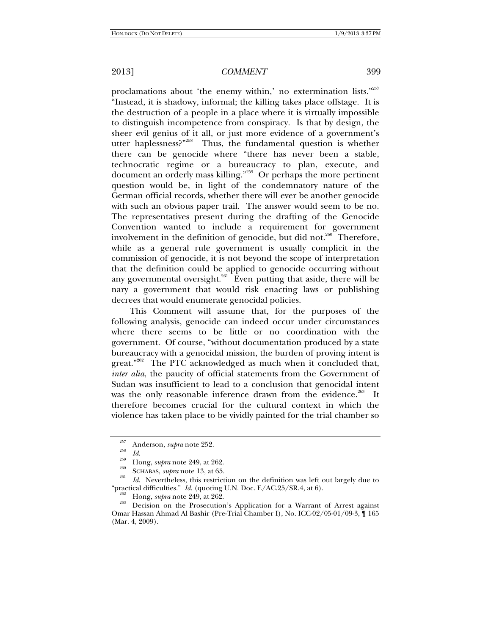proclamations about 'the enemy within,' no extermination lists."<sup>257</sup> "Instead, it is shadowy, informal; the killing takes place offstage. It is the destruction of a people in a place where it is virtually impossible to distinguish incompetence from conspiracy. Is that by design, the sheer evil genius of it all, or just more evidence of a government's utter haplessness?"<sup>258</sup> Thus, the fundamental question is whether there can be genocide where "there has never been a stable, technocratic regime or a bureaucracy to plan, execute, and document an orderly mass killing."259 Or perhaps the more pertinent question would be, in light of the condemnatory nature of the German official records, whether there will ever be another genocide with such an obvious paper trail. The answer would seem to be no. The representatives present during the drafting of the Genocide Convention wanted to include a requirement for government involvement in the definition of genocide, but did not.<sup>260</sup> Therefore, while as a general rule government is usually complicit in the commission of genocide, it is not beyond the scope of interpretation that the definition could be applied to genocide occurring without any governmental oversight.<sup>261</sup> Even putting that aside, there will be nary a government that would risk enacting laws or publishing decrees that would enumerate genocidal policies.

This Comment will assume that, for the purposes of the following analysis, genocide can indeed occur under circumstances where there seems to be little or no coordination with the government. Of course, "without documentation produced by a state bureaucracy with a genocidal mission, the burden of proving intent is  $\theta$  great."<sup>262</sup> The PTC acknowledged as much when it concluded that, *inter alia*, the paucity of official statements from the Government of Sudan was insufficient to lead to a conclusion that genocidal intent was the only reasonable inference drawn from the evidence.<sup>263</sup> It therefore becomes crucial for the cultural context in which the violence has taken place to be vividly painted for the trial chamber so

<sup>&</sup>lt;sup>257</sup> Anderson, *supra* note 252.<br> $\frac{258}{Id}$ 

<sup>&</sup>lt;sup>259</sup> Hong, *supra* note 249, at 262.<br> **SCHABAS**, *supra* note 13, at 65.

<sup>&</sup>lt;sup>201</sup> *Id.* Nevertheless, this restriction on the definition was left out largely due to "practical difficulties." *Id.* (quoting U.N. Doc.  $E/AC.25/SR.4$ , at 6).

<sup>&</sup>lt;sup>262</sup> Hong, *supra* note 249, at 262.<br><sup>263</sup> Decision on the Prosecution's Application for a Warrant of Arrest against Omar Hassan Ahmad Al Bashir (Pre-Trial Chamber I), No. ICC-02/05-01/09-3, ¶ 165 (Mar. 4, 2009).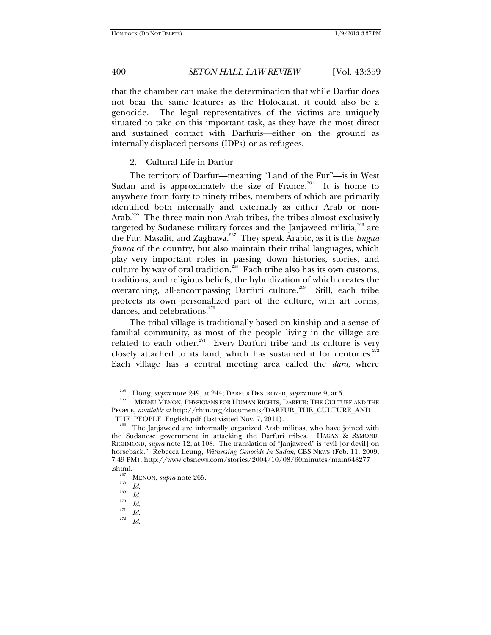that the chamber can make the determination that while Darfur does not bear the same features as the Holocaust, it could also be a genocide. The legal representatives of the victims are uniquely situated to take on this important task, as they have the most direct and sustained contact with Darfuris—either on the ground as internally-displaced persons (IDPs) or as refugees.

2. Cultural Life in Darfur

The territory of Darfur—meaning "Land of the Fur"—is in West Sudan and is approximately the size of France.<sup>264</sup> It is home to anywhere from forty to ninety tribes, members of which are primarily identified both internally and externally as either Arab or non-Arab.<sup>265</sup> The three main non-Arab tribes, the tribes almost exclusively targeted by Sudanese military forces and the Janjaweed militia,<sup>266</sup> are the Fur, Masalit, and Zaghawa.267 They speak Arabic, as it is the *lingua franca* of the country, but also maintain their tribal languages, which play very important roles in passing down histories, stories, and culture by way of oral tradition.<sup>268</sup> Each tribe also has its own customs, traditions, and religious beliefs, the hybridization of which creates the overarching, all-encompassing Darfuri culture.<sup>269</sup> Still, each tribe protects its own personalized part of the culture, with art forms, dances, and celebrations. $270$ 

The tribal village is traditionally based on kinship and a sense of familial community, as most of the people living in the village are related to each other. $271$  Every Darfuri tribe and its culture is very closely attached to its land, which has sustained it for centuries.<sup> $272$ </sup> Each village has a central meeting area called the *dara*, where

<sup>&</sup>lt;sup>264</sup> Hong, *supra* note 249, at 244; DARFUR DESTROYED, *supra* note 9, at 5.<br><sup>265</sup> MEENU MENON, PHYSICIANS FOR HUMAN RIGHTS, DARFUR: THE CULTURE AND THE PEOPLE, *available at* http://rhin.org/documents/DARFUR\_THE\_CULTURE\_AND

<sup>&</sup>lt;sup>266</sup> The Janjaweed are informally organized Arab militias, who have joined with the Sudanese government in attacking the Darfuri tribes. HAGAN & RYMOND-RICHMOND, *supra* note 12, at 108. The translation of "Janjaweed" is "evil [or devil] on horseback." Rebecca Leung, *Witnessing Genocide In Sudan*, CBS NEWS (Feb. 11, 2009, 7:49 PM), http://www.cbsnews.com/stories/2004/10/08/60minutes/main648277

<sup>.</sup>shtml. 267 MENON, *supra* note 265. 268 *Id*. 269 *Id*. 270

 $\frac{270}{271}$  *Id.* 272

*Id*.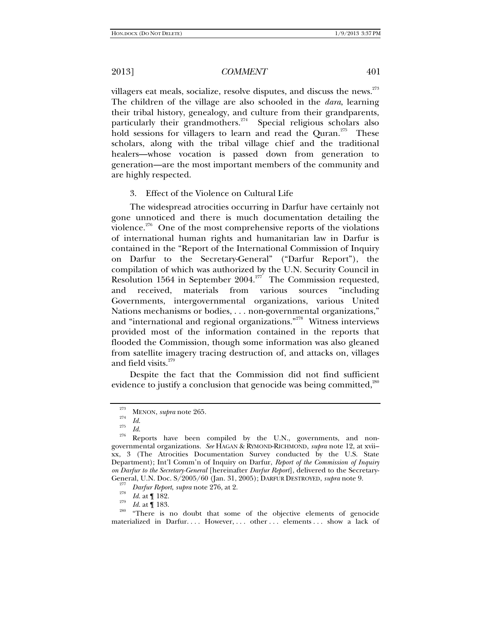villagers eat meals, socialize, resolve disputes, and discuss the news.<sup>273</sup> The children of the village are also schooled in the *dara*, learning their tribal history, genealogy, and culture from their grandparents, particularly their grandmothers.<sup>274</sup> Special religious scholars also hold sessions for villagers to learn and read the Quran.<sup>275</sup> These scholars, along with the tribal village chief and the traditional healers—whose vocation is passed down from generation to generation—are the most important members of the community and are highly respected.

## 3. Effect of the Violence on Cultural Life

The widespread atrocities occurring in Darfur have certainly not gone unnoticed and there is much documentation detailing the violence.<sup>276</sup> One of the most comprehensive reports of the violations of international human rights and humanitarian law in Darfur is contained in the "Report of the International Commission of Inquiry on Darfur to the Secretary-General" ("Darfur Report"), the compilation of which was authorized by the U.N. Security Council in Resolution 1564 in September 2004.<sup>277</sup> The Commission requested, and received, materials from various sources "including Governments, intergovernmental organizations, various United Nations mechanisms or bodies, . . . non-governmental organizations," and "international and regional organizations."278 Witness interviews provided most of the information contained in the reports that flooded the Commission, though some information was also gleaned from satellite imagery tracing destruction of, and attacks on, villages and field visits.<sup>279</sup>

Despite the fact that the Commission did not find sufficient evidence to justify a conclusion that genocide was being committed, $^{20}$ 

<sup>280</sup> "There is no doubt that some of the objective elements of genocide materialized in Darfur. . . . However, . . . other . . . elements . . . show a lack of

<sup>&</sup>lt;sup>273</sup> MENON, *supra* note 265.<br> $\frac{1}{274}$  *Id.* 

<sup>&</sup>lt;sup>275</sup> *Id.*<br><sup>276</sup> Reports have been compiled by the U.N., governments, and nongovernmental organizations. *See* HAGAN & RYMOND-RICHMOND, *supra* note 12, at xvii– xx, 3 (The Atrocities Documentation Survey conducted by the U.S. State Department); Int'l Comm'n of Inquiry on Darfur, *Report of the Commission of Inquiry on Darfur to the Secretary-General* [hereinafter *Darfur Report*], delivered to the Secretary-General, U.N. Doc. S/2005/60 (Jan. 31, 2005); DARFUR DESTROYED, *supra* note 9. 277

<sup>&</sup>lt;sup>277</sup> *Darfur Report, supra* note 276, at 2.<br><sup>278</sup> *Id.* at ¶ 182.<br><sup>279</sup> *Id.* at ¶ 183.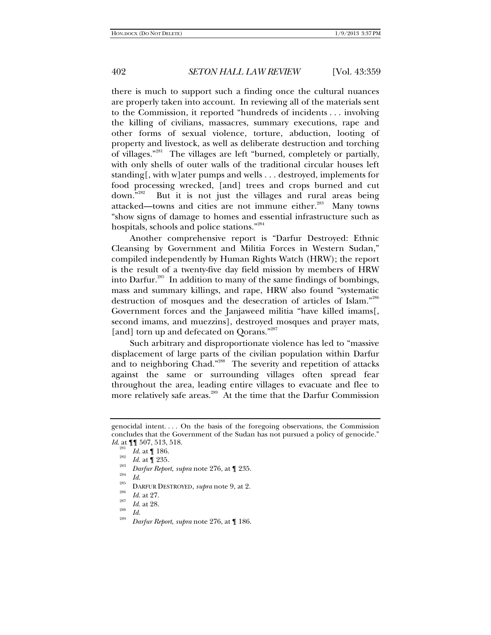there is much to support such a finding once the cultural nuances are properly taken into account. In reviewing all of the materials sent to the Commission, it reported "hundreds of incidents . . . involving the killing of civilians, massacres, summary executions, rape and other forms of sexual violence, torture, abduction, looting of property and livestock, as well as deliberate destruction and torching of villages."281 The villages are left "burned, completely or partially, with only shells of outer walls of the traditional circular houses left standing[, with w]ater pumps and wells . . . destroyed, implements for food processing wrecked, [and] trees and crops burned and cut down."282 But it is not just the villages and rural areas being attacked—towns and cities are not immune either.<sup>283</sup> Many towns "show signs of damage to homes and essential infrastructure such as hospitals, schools and police stations."284

Another comprehensive report is "Darfur Destroyed: Ethnic Cleansing by Government and Militia Forces in Western Sudan," compiled independently by Human Rights Watch (HRW); the report is the result of a twenty-five day field mission by members of HRW into Darfur.<sup>285</sup> In addition to many of the same findings of bombings, mass and summary killings, and rape, HRW also found "systematic destruction of mosques and the desecration of articles of Islam."286 Government forces and the Janjaweed militia "have killed imams[, second imams, and muezzins], destroyed mosques and prayer mats, [and] torn up and defecated on Qorans."<sup>287</sup>

Such arbitrary and disproportionate violence has led to "massive displacement of large parts of the civilian population within Darfur and to neighboring Chad."<sup>288</sup> The severity and repetition of attacks against the same or surrounding villages often spread fear throughout the area, leading entire villages to evacuate and flee to more relatively safe areas.<sup>289</sup> At the time that the Darfur Commission

genocidal intent. . . . On the basis of the foregoing observations, the Commission concludes that the Government of the Sudan has not pursued a policy of genocide." *Id*. at ¶¶ 507, 513, 518.

<sup>281</sup>

<sup>&</sup>lt;sup>281</sup> *Id.* at ¶ 186.<br><sup>282</sup> *Id.* at ¶ 235.<br><sup>283</sup> *Darfur Report, supra* note 276, at ¶ 235.<br>*Id.* 

<sup>&</sup>lt;sup>285</sup> DARFUR DESTROYED, *supra* note 9, at 2.<br> *Id.* at 27.

<sup>&</sup>lt;sup>287</sup> *Id.* at 28.<br><sup>288</sup> *Id.* 

*Darfur Report*, *supra* note 276, at ¶ 186.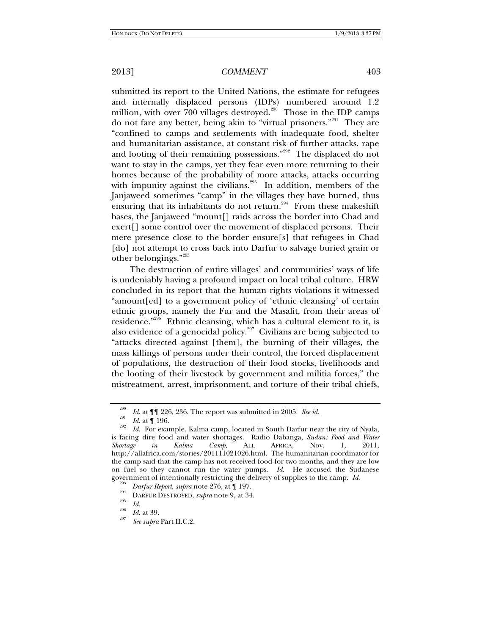submitted its report to the United Nations, the estimate for refugees and internally displaced persons (IDPs) numbered around 1.2 million, with over 700 villages destroyed.<sup>290</sup> Those in the IDP camps do not fare any better, being akin to "virtual prisoners."291 They are "confined to camps and settlements with inadequate food, shelter and humanitarian assistance, at constant risk of further attacks, rape and looting of their remaining possessions."<sup>292</sup> The displaced do not want to stay in the camps, yet they fear even more returning to their homes because of the probability of more attacks, attacks occurring with impunity against the civilians.<sup>293</sup> In addition, members of the Janjaweed sometimes "camp" in the villages they have burned, thus ensuring that its inhabitants do not return.<sup>294</sup> From these makeshift bases, the Janjaweed "mount[] raids across the border into Chad and exert[] some control over the movement of displaced persons. Their mere presence close to the border ensure[s] that refugees in Chad [do] not attempt to cross back into Darfur to salvage buried grain or other belongings."<sup>295</sup>

The destruction of entire villages' and communities' ways of life is undeniably having a profound impact on local tribal culture. HRW concluded in its report that the human rights violations it witnessed "amount[ed] to a government policy of 'ethnic cleansing' of certain ethnic groups, namely the Fur and the Masalit, from their areas of residence."<sup>296</sup> Ethnic cleansing, which has a cultural element to it, is also evidence of a genocidal policy. $297$  Civilians are being subjected to "attacks directed against [them], the burning of their villages, the mass killings of persons under their control, the forced displacement of populations, the destruction of their food stocks, livelihoods and the looting of their livestock by government and militia forces," the mistreatment, arrest, imprisonment, and torture of their tribal chiefs,

<sup>290</sup> <sup>230</sup> *Id.* at **[[**] 226, 236. The report was submitted in 2005. *See id.*  $Id.$  at **[**] 196.

 $I_{d}^{292}$  *Id.* For example, Kalma camp, located in South Darfur near the city of Nyala, is facing dire food and water shortages. Radio Dabanga, *Sudan: Food and Water Shortage in Kalma Camp*, ALL AFRICA, Nov. 1, 2011, http://allafrica.com/stories/201111021026.html. The humanitarian coordinator for the camp said that the camp has not received food for two months, and they are low on fuel so they cannot run the water pumps. *Id*. He accused the Sudanese government of intentionally restricting the delivery of supplies to the camp. *Id.* <sup>293</sup> *Darfur Report*, *supra* note 276, at ¶ 197.<br><sup>294</sup> DARFUR DESTROYED, *supra* note 9, at 34. *Id.* 

<sup>&</sup>lt;sup>296</sup> *Id.* at 39.

*See supra* Part II.C.2.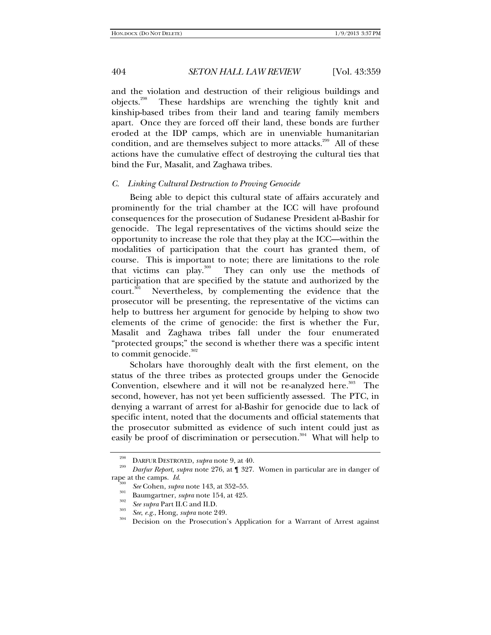and the violation and destruction of their religious buildings and objects.298 These hardships are wrenching the tightly knit and kinship-based tribes from their land and tearing family members apart. Once they are forced off their land, these bonds are further eroded at the IDP camps, which are in unenviable humanitarian condition, and are themselves subject to more attacks.<sup>299</sup> All of these actions have the cumulative effect of destroying the cultural ties that bind the Fur, Masalit, and Zaghawa tribes.

### *C. Linking Cultural Destruction to Proving Genocide*

Being able to depict this cultural state of affairs accurately and prominently for the trial chamber at the ICC will have profound consequences for the prosecution of Sudanese President al-Bashir for genocide. The legal representatives of the victims should seize the opportunity to increase the role that they play at the ICC—within the modalities of participation that the court has granted them, of course. This is important to note; there are limitations to the role that victims can play. $300$  They can only use the methods of participation that are specified by the statute and authorized by the court.<sup>301</sup> Nevertheless, by complementing the evidence that the prosecutor will be presenting, the representative of the victims can help to buttress her argument for genocide by helping to show two elements of the crime of genocide: the first is whether the Fur, Masalit and Zaghawa tribes fall under the four enumerated "protected groups;" the second is whether there was a specific intent to commit genocide. $302$ 

Scholars have thoroughly dealt with the first element, on the status of the three tribes as protected groups under the Genocide Convention, elsewhere and it will not be re-analyzed here.<sup>303</sup> The second, however, has not yet been sufficiently assessed. The PTC, in denying a warrant of arrest for al-Bashir for genocide due to lack of specific intent, noted that the documents and official statements that the prosecutor submitted as evidence of such intent could just as easily be proof of discrimination or persecution.<sup>304</sup> What will help to

<sup>298</sup> DARFUR DESTROYED, *supra* note 9, at 40. 299 *Darfur Report*, *supra* note 276, at ¶ 327. Women in particular are in danger of rape at the camps. *Id.* <sup>300</sup> *See* Cohen, *supra* note 143, at 352–55.<br><sup>301</sup> Baumgartner, *supra* note 154, at 425.<br><sup>302</sup> *See supra* Part II.C and II.D.

<sup>&</sup>lt;sup>303</sup> *See*, *e.g.*, Hong, *supra* note 249. <br><sup>304</sup> Decision on the Prosecution's Application for a Warrant of Arrest against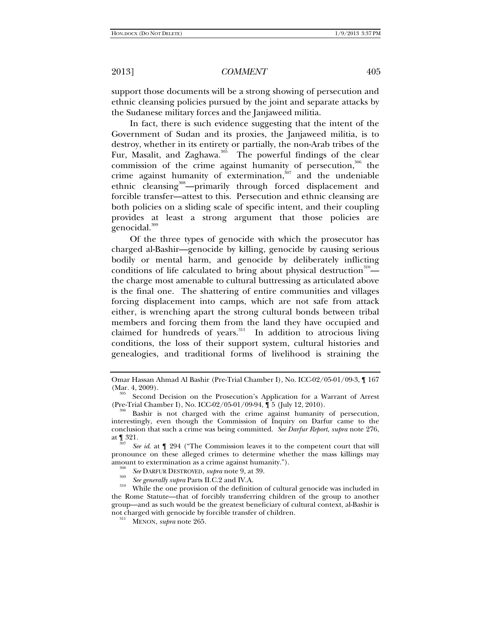support those documents will be a strong showing of persecution and ethnic cleansing policies pursued by the joint and separate attacks by the Sudanese military forces and the Janjaweed militia.

In fact, there is such evidence suggesting that the intent of the Government of Sudan and its proxies, the Janjaweed militia, is to destroy, whether in its entirety or partially, the non-Arab tribes of the Fur, Masalit, and Zaghawa.<sup>305</sup> The powerful findings of the clear commission of the crime against humanity of persecution, $306$  the crime against humanity of extermination, $307$  and the undeniable ethnic cleansing<sup>308</sup>—primarily through forced displacement and forcible transfer—attest to this. Persecution and ethnic cleansing are both policies on a sliding scale of specific intent, and their coupling provides at least a strong argument that those policies are genocidal.<sup>309</sup>

Of the three types of genocide with which the prosecutor has charged al-Bashir—genocide by killing, genocide by causing serious bodily or mental harm, and genocide by deliberately inflicting conditions of life calculated to bring about physical destruction $310$ the charge most amenable to cultural buttressing as articulated above is the final one. The shattering of entire communities and villages forcing displacement into camps, which are not safe from attack either, is wrenching apart the strong cultural bonds between tribal members and forcing them from the land they have occupied and claimed for hundreds of years. $311$  In addition to atrocious living conditions, the loss of their support system, cultural histories and genealogies, and traditional forms of livelihood is straining the

Omar Hassan Ahmad Al Bashir (Pre-Trial Chamber I), No. ICC-02/05-01/09-3, ¶ 167

<sup>&</sup>lt;sup>305</sup> Second Decision on the Prosecution's Application for a Warrant of Arrest (Pre-Trial Chamber I), No. ICC-02/05-01/09-94,  $\int$  5 (July 12, 2010).

<sup>&</sup>lt;sup>306</sup> Bashir is not charged with the crime against humanity of persecution, interestingly, even though the Commission of Inquiry on Darfur came to the conclusion that such a crime was being committed. *See Darfur Report*, *supra* note 276, at  $\P$  321.

*See id*. at ¶ 294 ("The Commission leaves it to the competent court that will pronounce on these alleged crimes to determine whether the mass killings may amount to extermination as a crime against humanity.").<br><sup>308</sup> *See* DARFUR DESTROYED, *supra* note 9, at 39.<br>*See generally supra* Parts II.C.2 and IV.A.

<sup>&</sup>lt;sup>310</sup> While the one provision of the definition of cultural genocide was included in the Rome Statute—that of forcibly transferring children of the group to another group—and as such would be the greatest beneficiary of cultural context, al-Bashir is not charged with genocide by forcible transfer of children. 311 MENON, *supra* note 265.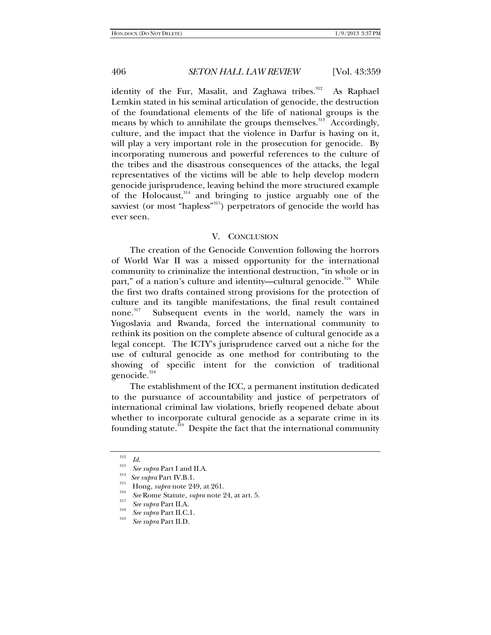identity of the Fur, Masalit, and Zaghawa tribes.<sup>312</sup> As Raphael Lemkin stated in his seminal articulation of genocide, the destruction of the foundational elements of the life of national groups is the means by which to annihilate the groups themselves.<sup>313</sup> Accordingly, culture, and the impact that the violence in Darfur is having on it, will play a very important role in the prosecution for genocide. By incorporating numerous and powerful references to the culture of the tribes and the disastrous consequences of the attacks, the legal representatives of the victims will be able to help develop modern genocide jurisprudence, leaving behind the more structured example of the Holocaust,  $314$  and bringing to justice arguably one of the savviest (or most "hapless"<sup>315</sup>) perpetrators of genocide the world has ever seen.

### V. CONCLUSION

The creation of the Genocide Convention following the horrors of World War II was a missed opportunity for the international community to criminalize the intentional destruction, "in whole or in part," of a nation's culture and identity—cultural genocide.<sup>316</sup> While the first two drafts contained strong provisions for the protection of culture and its tangible manifestations, the final result contained none.<sup>317</sup> Subsequent events in the world, namely the wars in Yugoslavia and Rwanda, forced the international community to rethink its position on the complete absence of cultural genocide as a legal concept. The ICTY's jurisprudence carved out a niche for the use of cultural genocide as one method for contributing to the showing of specific intent for the conviction of traditional genocide.<sup>318</sup>

The establishment of the ICC, a permanent institution dedicated to the pursuance of accountability and justice of perpetrators of international criminal law violations, briefly reopened debate about whether to incorporate cultural genocide as a separate crime in its founding statute.<sup>319</sup> Despite the fact that the international community

<sup>&</sup>lt;sup>312</sup> *Id.*<br><sup>313</sup> *See supra* Part I and II.A.<br><sup>314</sup> *See supra* Part IV.B.1.<br><sup>315</sup> Hong, *supra* note 249, at 261.<br><sup>316</sup> *See* Rome Statute, *supra* note 24, at art. 5.<br>*See supra* Part II.A.

<sup>&</sup>lt;sup>318</sup> *See supra* Part II.C.1.

*See supra* Part II.D.